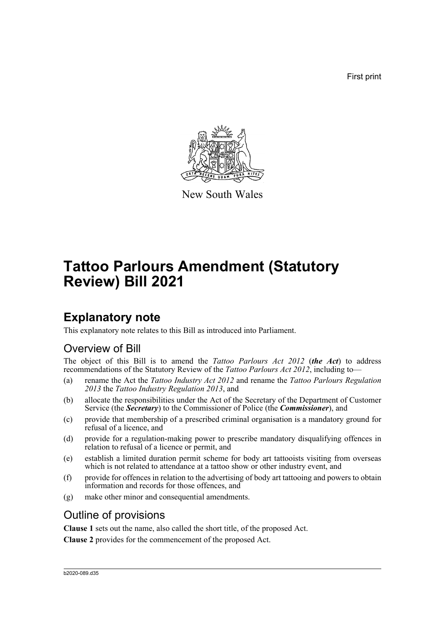First print



New South Wales

# **Tattoo Parlours Amendment (Statutory Review) Bill 2021**

## **Explanatory note**

This explanatory note relates to this Bill as introduced into Parliament.

## Overview of Bill

The object of this Bill is to amend the *Tattoo Parlours Act 2012* (*the Act*) to address recommendations of the Statutory Review of the *Tattoo Parlours Act 2012*, including to—

- (a) rename the Act the *Tattoo Industry Act 2012* and rename the *Tattoo Parlours Regulation 2013* the *Tattoo Industry Regulation 2013*, and
- (b) allocate the responsibilities under the Act of the Secretary of the Department of Customer Service (the *Secretary*) to the Commissioner of Police (the *Commissioner*), and
- (c) provide that membership of a prescribed criminal organisation is a mandatory ground for refusal of a licence, and
- (d) provide for a regulation-making power to prescribe mandatory disqualifying offences in relation to refusal of a licence or permit, and
- (e) establish a limited duration permit scheme for body art tattooists visiting from overseas which is not related to attendance at a tattoo show or other industry event, and
- (f) provide for offences in relation to the advertising of body art tattooing and powers to obtain information and records for those offences, and
- (g) make other minor and consequential amendments.

### Outline of provisions

**Clause 1** sets out the name, also called the short title, of the proposed Act.

**Clause 2** provides for the commencement of the proposed Act.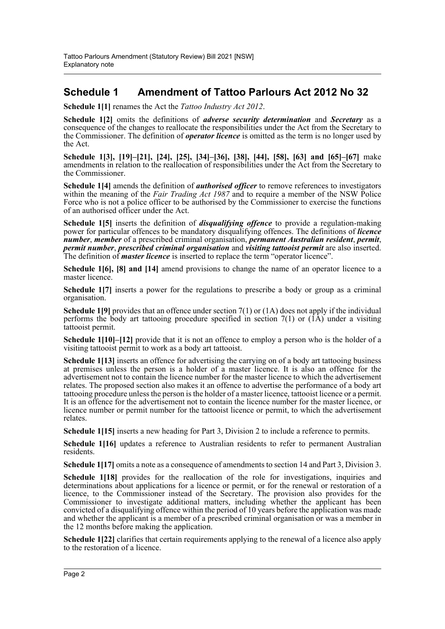### **Schedule 1 Amendment of Tattoo Parlours Act 2012 No 32**

**Schedule 1[1]** renames the Act the *Tattoo Industry Act 2012*.

**Schedule 1[2]** omits the definitions of *adverse security determination* and *Secretary* as a consequence of the changes to reallocate the responsibilities under the Act from the Secretary to the Commissioner. The definition of *operator licence* is omitted as the term is no longer used by the Act.

**Schedule 1[3], [19]–[21], [24], [25], [34]–[36], [38], [44], [58], [63] and [65]–[67]** make amendments in relation to the reallocation of responsibilities under the Act from the Secretary to the Commissioner.

**Schedule 1[4]** amends the definition of *authorised officer* to remove references to investigators within the meaning of the *Fair Trading Act 1987* and to require a member of the NSW Police Force who is not a police officer to be authorised by the Commissioner to exercise the functions of an authorised officer under the Act.

**Schedule 1[5]** inserts the definition of *disqualifying offence* to provide a regulation-making power for particular offences to be mandatory disqualifying offences. The definitions of *licence number*, *member* of a prescribed criminal organisation, *permanent Australian resident*, *permit*, *permit number*, *prescribed criminal organisation* and *visiting tattooist permit* are also inserted. The definition of *master licence* is inserted to replace the term "operator licence".

**Schedule 1[6], [8] and [14]** amend provisions to change the name of an operator licence to a master licence.

**Schedule 1[7]** inserts a power for the regulations to prescribe a body or group as a criminal organisation.

**Schedule 1[9]** provides that an offence under section 7(1) or (1A) does not apply if the individual performs the body art tattooing procedure specified in section  $7(1)$  or  $(\hat{I}A)$  under a visiting tattooist permit.

**Schedule 1[10]–[12]** provide that it is not an offence to employ a person who is the holder of a visiting tattooist permit to work as a body art tattooist.

**Schedule 1[13]** inserts an offence for advertising the carrying on of a body art tattooing business at premises unless the person is a holder of a master licence. It is also an offence for the advertisement not to contain the licence number for the master licence to which the advertisement relates. The proposed section also makes it an offence to advertise the performance of a body art tattooing procedure unless the person is the holder of a master licence, tattooist licence or a permit. It is an offence for the advertisement not to contain the licence number for the master licence, or licence number or permit number for the tattooist licence or permit, to which the advertisement relates.

**Schedule 1[15]** inserts a new heading for Part 3, Division 2 to include a reference to permits.

**Schedule 1[16]** updates a reference to Australian residents to refer to permanent Australian residents.

**Schedule 1[17]** omits a note as a consequence of amendments to section 14 and Part 3, Division 3.

Schedule 1<sup>[18]</sup> provides for the reallocation of the role for investigations, inquiries and determinations about applications for a licence or permit, or for the renewal or restoration of a licence, to the Commissioner instead of the Secretary. The provision also provides for the Commissioner to investigate additional matters, including whether the applicant has been convicted of a disqualifying offence within the period of 10 years before the application was made and whether the applicant is a member of a prescribed criminal organisation or was a member in the 12 months before making the application.

**Schedule 1[22]** clarifies that certain requirements applying to the renewal of a licence also apply to the restoration of a licence.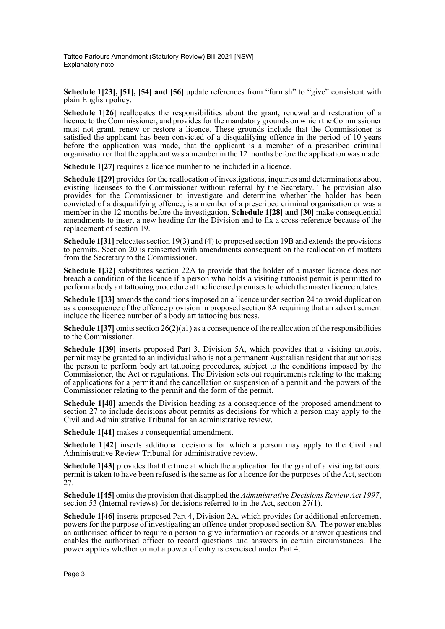**Schedule 1[23], [51], [54] and [56]** update references from "furnish" to "give" consistent with plain English policy.

**Schedule 1[26]** reallocates the responsibilities about the grant, renewal and restoration of a licence to the Commissioner, and provides for the mandatory grounds on which the Commissioner must not grant, renew or restore a licence. These grounds include that the Commissioner is satisfied the applicant has been convicted of a disqualifying offence in the period of 10 years before the application was made, that the applicant is a member of a prescribed criminal organisation or that the applicant was a member in the 12 months before the application was made.

**Schedule 1[27]** requires a licence number to be included in a licence.

**Schedule 1[29]** provides for the reallocation of investigations, inquiries and determinations about existing licensees to the Commissioner without referral by the Secretary. The provision also provides for the Commissioner to investigate and determine whether the holder has been convicted of a disqualifying offence, is a member of a prescribed criminal organisation or was a member in the 12 months before the investigation. **Schedule 1[28] and [30]** make consequential amendments to insert a new heading for the Division and to fix a cross-reference because of the replacement of section 19.

**Schedule 1[31]** relocates section 19(3) and (4) to proposed section 19B and extends the provisions to permits. Section 20 is reinserted with amendments consequent on the reallocation of matters from the Secretary to the Commissioner.

**Schedule 1[32]** substitutes section 22A to provide that the holder of a master licence does not breach a condition of the licence if a person who holds a visiting tattooist permit is permitted to perform a body art tattooing procedure at the licensed premises to which the master licence relates.

**Schedule 1[33]** amends the conditions imposed on a licence under section 24 to avoid duplication as a consequence of the offence provision in proposed section 8A requiring that an advertisement include the licence number of a body art tattooing business.

**Schedule 1[37]** omits section 26(2)(a1) as a consequence of the reallocation of the responsibilities to the Commissioner.

**Schedule 1[39]** inserts proposed Part 3, Division 5A, which provides that a visiting tattooist permit may be granted to an individual who is not a permanent Australian resident that authorises the person to perform body art tattooing procedures, subject to the conditions imposed by the Commissioner, the Act or regulations. The Division sets out requirements relating to the making of applications for a permit and the cancellation or suspension of a permit and the powers of the Commissioner relating to the permit and the form of the permit.

**Schedule 1[40]** amends the Division heading as a consequence of the proposed amendment to section 27 to include decisions about permits as decisions for which a person may apply to the Civil and Administrative Tribunal for an administrative review.

**Schedule 1[41]** makes a consequential amendment.

**Schedule 1[42]** inserts additional decisions for which a person may apply to the Civil and Administrative Review Tribunal for administrative review.

**Schedule 1[43]** provides that the time at which the application for the grant of a visiting tattooist permit is taken to have been refused is the same as for a licence for the purposes of the Act, section 27.

**Schedule 1[45]** omits the provision that disapplied the *Administrative Decisions Review Act 1997*, section 53 (Internal reviews) for decisions referred to in the Act, section 27(1).

**Schedule 1[46]** inserts proposed Part 4, Division 2A, which provides for additional enforcement powers for the purpose of investigating an offence under proposed section 8A. The power enables an authorised officer to require a person to give information or records or answer questions and enables the authorised officer to record questions and answers in certain circumstances. The power applies whether or not a power of entry is exercised under Part 4.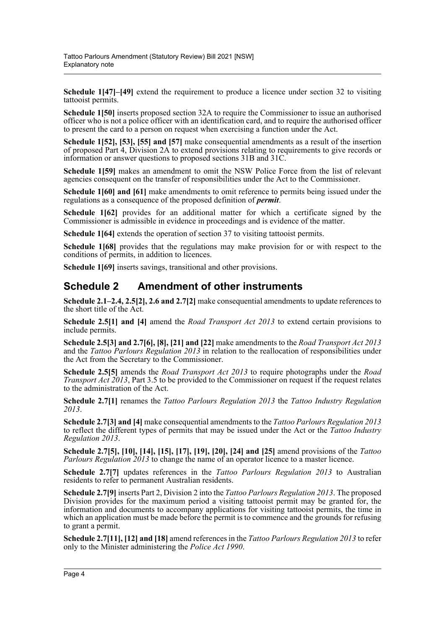**Schedule 1[47]–[49]** extend the requirement to produce a licence under section 32 to visiting tattooist permits.

**Schedule 1[50]** inserts proposed section 32A to require the Commissioner to issue an authorised officer who is not a police officer with an identification card, and to require the authorised officer to present the card to a person on request when exercising a function under the Act.

**Schedule 1[52], [53], [55] and [57]** make consequential amendments as a result of the insertion of proposed Part 4, Division 2A to extend provisions relating to requirements to give records or information or answer questions to proposed sections 31B and 31C.

**Schedule 1[59]** makes an amendment to omit the NSW Police Force from the list of relevant agencies consequent on the transfer of responsibilities under the Act to the Commissioner.

**Schedule 1[60] and [61]** make amendments to omit reference to permits being issued under the regulations as a consequence of the proposed definition of *permit*.

**Schedule 1[62]** provides for an additional matter for which a certificate signed by the Commissioner is admissible in evidence in proceedings and is evidence of the matter.

**Schedule 1[64]** extends the operation of section 37 to visiting tattooist permits.

**Schedule 1[68]** provides that the regulations may make provision for or with respect to the conditions of permits, in addition to licences.

**Schedule 1[69]** inserts savings, transitional and other provisions.

#### **Schedule 2 Amendment of other instruments**

**Schedule 2.1–2.4, 2.5[2], 2.6 and 2.7[2]** make consequential amendments to update references to the short title of the Act.

**Schedule 2.5[1] and [4]** amend the *Road Transport Act 2013* to extend certain provisions to include permits.

**Schedule 2.5[3] and 2.7[6], [8], [21] and [22]** make amendments to the *Road Transport Act 2013* and the *Tattoo Parlours Regulation 2013* in relation to the reallocation of responsibilities under the Act from the Secretary to the Commissioner.

**Schedule 2.5[5]** amends the *Road Transport Act 2013* to require photographs under the *Road Transport Act 2013*, Part 3.5 to be provided to the Commissioner on request if the request relates to the administration of the Act.

**Schedule 2.7[1]** renames the *Tattoo Parlours Regulation 2013* the *Tattoo Industry Regulation 2013*.

**Schedule 2.7[3] and [4]** make consequential amendments to the *Tattoo Parlours Regulation 2013* to reflect the different types of permits that may be issued under the Act or the *Tattoo Industry Regulation 2013*.

**Schedule 2.7[5], [10], [14], [15], [17], [19], [20], [24] and [25]** amend provisions of the *Tattoo Parlours Regulation 2013* to change the name of an operator licence to a master licence.

**Schedule 2.7[7]** updates references in the *Tattoo Parlours Regulation 2013* to Australian residents to refer to permanent Australian residents.

**Schedule 2.7[9]** inserts Part 2, Division 2 into the *Tattoo Parlours Regulation 2013*. The proposed Division provides for the maximum period a visiting tattooist permit may be granted for, the information and documents to accompany applications for visiting tattooist permits, the time in which an application must be made before the permit is to commence and the grounds for refusing to grant a permit.

**Schedule 2.7[11], [12] and [18]** amend references in the *Tattoo Parlours Regulation 2013* to refer only to the Minister administering the *Police Act 1990*.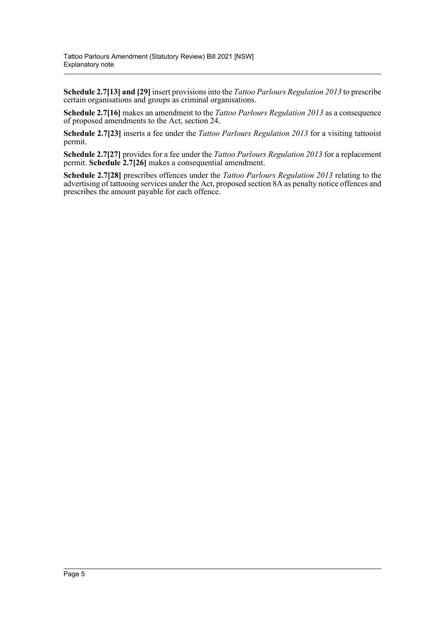**Schedule 2.7[13] and [29]** insert provisions into the *Tattoo Parlours Regulation 2013* to prescribe certain organisations and groups as criminal organisations.

**Schedule 2.7[16]** makes an amendment to the *Tattoo Parlours Regulation 2013* as a consequence of proposed amendments to the Act, section 24.

**Schedule 2.7[23]** inserts a fee under the *Tattoo Parlours Regulation 2013* for a visiting tattooist permit.

**Schedule 2.7[27]** provides for a fee under the *Tattoo Parlours Regulation 2013* for a replacement permit. **Schedule 2.7[26]** makes a consequential amendment.

**Schedule 2.7[28]** prescribes offences under the *Tattoo Parlours Regulation 2013* relating to the advertising of tattooing services under the Act, proposed section 8A as penalty notice offences and prescribes the amount payable for each offence.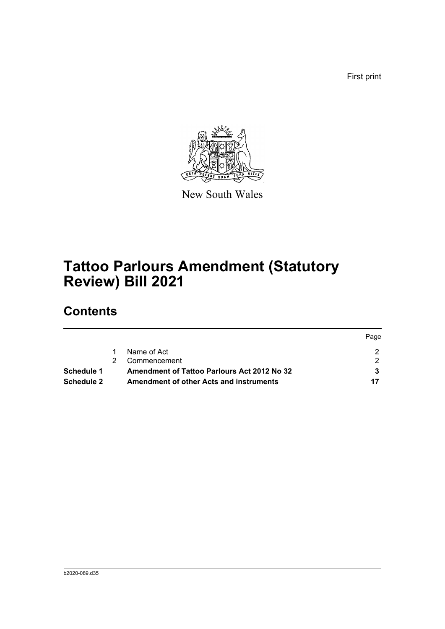First print



New South Wales

# **Tattoo Parlours Amendment (Statutory Review) Bill 2021**

## **Contents**

|            |                                                    | Page |
|------------|----------------------------------------------------|------|
|            | Name of Act                                        |      |
|            | Commencement                                       |      |
| Schedule 1 | <b>Amendment of Tattoo Parlours Act 2012 No 32</b> |      |
| Schedule 2 | <b>Amendment of other Acts and instruments</b>     |      |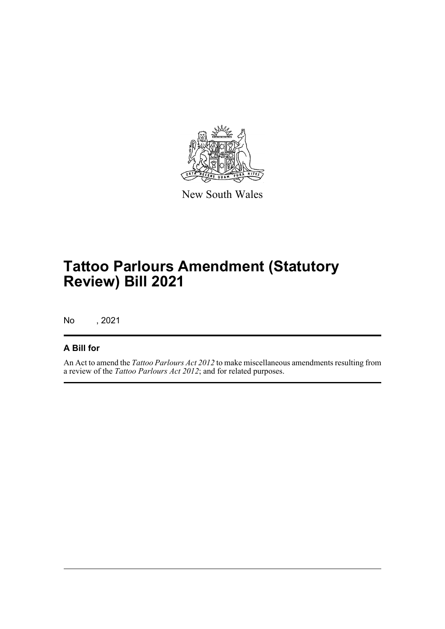

New South Wales

# **Tattoo Parlours Amendment (Statutory Review) Bill 2021**

No , 2021

#### **A Bill for**

An Act to amend the *Tattoo Parlours Act 2012* to make miscellaneous amendments resulting from a review of the *Tattoo Parlours Act 2012*; and for related purposes.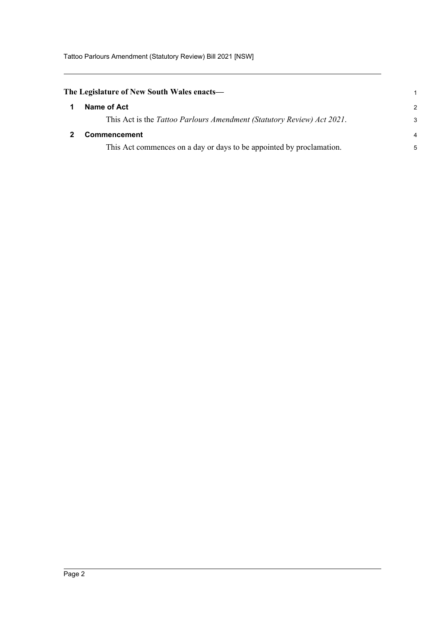Tattoo Parlours Amendment (Statutory Review) Bill 2021 [NSW]

<span id="page-7-1"></span><span id="page-7-0"></span>

| The Legislature of New South Wales enacts—                             | 1              |
|------------------------------------------------------------------------|----------------|
| Name of Act                                                            | $\mathcal{P}$  |
| This Act is the Tattoo Parlours Amendment (Statutory Review) Act 2021. | 3              |
| <b>Commencement</b>                                                    | $\overline{a}$ |
| This Act commences on a day or days to be appointed by proclamation.   | 5              |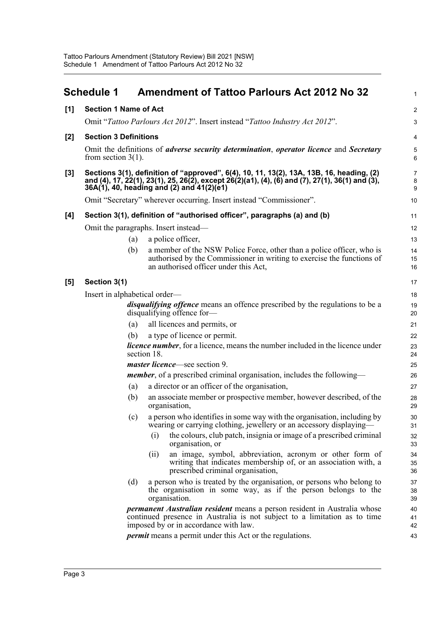<span id="page-8-0"></span>

|     | <b>Schedule 1</b>             |             | <b>Amendment of Tattoo Parlours Act 2012 No 32</b>                                                                                                                                                                                       | $\mathbf{1}$                   |
|-----|-------------------------------|-------------|------------------------------------------------------------------------------------------------------------------------------------------------------------------------------------------------------------------------------------------|--------------------------------|
| [1] | <b>Section 1 Name of Act</b>  |             |                                                                                                                                                                                                                                          | $\overline{2}$                 |
|     |                               |             | Omit "Tattoo Parlours Act 2012". Insert instead "Tattoo Industry Act 2012".                                                                                                                                                              | 3                              |
| [2] | <b>Section 3 Definitions</b>  |             |                                                                                                                                                                                                                                          | $\overline{4}$                 |
|     | from section $3(1)$ .         |             | Omit the definitions of <i>adverse security determination</i> , <i>operator licence</i> and <i>Secretary</i>                                                                                                                             | 5<br>6                         |
| [3] |                               |             | Sections 3(1), definition of "approved", 6(4), 10, 11, 13(2), 13A, 13B, 16, heading, (2)<br>and (4), 17, 22(1), 23(1), 25, 26(2), except 26(2)(a1), (4), (6) and (7), 27(1), 36(1) and (3),<br>36A(1), 40, heading and (2) and 41(2)(e1) | $\overline{7}$<br>$\bf 8$<br>9 |
|     |                               |             | Omit "Secretary" wherever occurring. Insert instead "Commissioner".                                                                                                                                                                      | $10$                           |
| [4] |                               |             | Section 3(1), definition of "authorised officer", paragraphs (a) and (b)                                                                                                                                                                 | 11                             |
|     |                               |             | Omit the paragraphs. Insert instead—                                                                                                                                                                                                     | 12                             |
|     |                               | (a)         | a police officer,                                                                                                                                                                                                                        | 13                             |
|     |                               | (b)         | a member of the NSW Police Force, other than a police officer, who is<br>authorised by the Commissioner in writing to exercise the functions of<br>an authorised officer under this Act,                                                 | 14<br>15<br>16                 |
| [5] | Section 3(1)                  |             |                                                                                                                                                                                                                                          | 17                             |
|     | Insert in alphabetical order— |             |                                                                                                                                                                                                                                          | 18                             |
|     |                               |             | disqualifying offence means an offence prescribed by the regulations to be a<br>disqualifying offence for-                                                                                                                               | 19<br>20                       |
|     |                               | (a)         | all licences and permits, or                                                                                                                                                                                                             | 21                             |
|     |                               | (b)         | a type of licence or permit.                                                                                                                                                                                                             | 22                             |
|     |                               | section 18. | <i>licence number</i> , for a licence, means the number included in the licence under                                                                                                                                                    | 23<br>24                       |
|     |                               |             | <i>master licence</i> —see section 9.                                                                                                                                                                                                    | 25                             |
|     |                               |             | member, of a prescribed criminal organisation, includes the following-                                                                                                                                                                   | 26                             |
|     |                               | (a)         | a director or an officer of the organisation,                                                                                                                                                                                            | 27                             |
|     |                               | (b)         | an associate member or prospective member, however described, of the<br>organisation,                                                                                                                                                    | 28<br>29                       |
|     |                               | (c)         | a person who identifies in some way with the organisation, including by<br>wearing or carrying clothing, jewellery or an accessory displaying-                                                                                           | 30<br>31                       |
|     |                               |             | the colours, club patch, insignia or image of a prescribed criminal<br>(i)<br>organisation, or                                                                                                                                           | 32<br>33                       |
|     |                               |             | an image, symbol, abbreviation, acronym or other form of<br>(ii)<br>writing that indicates membership of, or an association with, a<br>prescribed criminal organisation,                                                                 | 34<br>35<br>36                 |
|     |                               | (d)         | a person who is treated by the organisation, or persons who belong to<br>the organisation in some way, as if the person belongs to the<br>organisation.                                                                                  | 37<br>38<br>39                 |
|     |                               |             | <i>permanent Australian resident</i> means a person resident in Australia whose<br>continued presence in Australia is not subject to a limitation as to time<br>imposed by or in accordance with law.                                    | 40<br>41<br>42                 |
|     |                               |             | <i>permit</i> means a permit under this Act or the regulations.                                                                                                                                                                          | 43                             |
|     |                               |             |                                                                                                                                                                                                                                          |                                |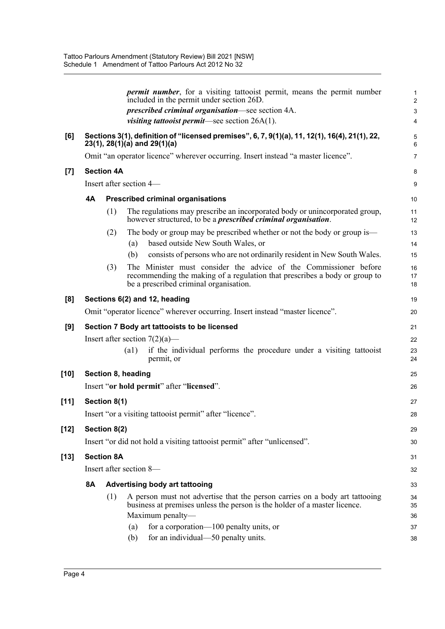|        |    |                   |                         | <i>permit number</i> , for a visiting tattooist permit, means the permit number<br>included in the permit under section 26D.                                                             | 1<br>$\overline{\mathbf{c}}$ |
|--------|----|-------------------|-------------------------|------------------------------------------------------------------------------------------------------------------------------------------------------------------------------------------|------------------------------|
|        |    |                   |                         | <i>prescribed criminal organisation—see section 4A.</i>                                                                                                                                  | 3                            |
|        |    |                   |                         | visiting tattooist permit-see section 26A(1).                                                                                                                                            | 4                            |
| [6]    |    |                   |                         | Sections 3(1), definition of "licensed premises", 6, 7, 9(1)(a), 11, 12(1), 16(4), 21(1), 22,<br>$23(1), 28(1)(a)$ and $29(1)(a)$                                                        | 5<br>6                       |
|        |    |                   |                         | Omit "an operator licence" wherever occurring. Insert instead "a master licence".                                                                                                        | 7                            |
| $[7]$  |    | <b>Section 4A</b> |                         |                                                                                                                                                                                          | 8                            |
|        |    |                   | Insert after section 4- |                                                                                                                                                                                          | 9                            |
|        | 4A |                   |                         | <b>Prescribed criminal organisations</b>                                                                                                                                                 | 10                           |
|        |    | (1)               |                         | The regulations may prescribe an incorporated body or unincorporated group,<br>however structured, to be a <i>prescribed criminal organisation</i> .                                     | 11<br>12                     |
|        |    | (2)               |                         | The body or group may be prescribed whether or not the body or group is—                                                                                                                 | 13                           |
|        |    |                   | (a)                     | based outside New South Wales, or                                                                                                                                                        | 14                           |
|        |    |                   | (b)                     | consists of persons who are not ordinarily resident in New South Wales.                                                                                                                  | 15                           |
|        |    | (3)               |                         | The Minister must consider the advice of the Commissioner before<br>recommending the making of a regulation that prescribes a body or group to<br>be a prescribed criminal organisation. | 16<br>17<br>18               |
| [8]    |    |                   |                         | Sections 6(2) and 12, heading                                                                                                                                                            | 19                           |
|        |    |                   |                         | Omit "operator licence" wherever occurring. Insert instead "master licence".                                                                                                             | 20                           |
| [9]    |    |                   |                         | Section 7 Body art tattooists to be licensed                                                                                                                                             | 21                           |
|        |    |                   |                         | Insert after section $7(2)(a)$ —                                                                                                                                                         | 22                           |
|        |    |                   | (a1)                    | if the individual performs the procedure under a visiting tattooist<br>permit, or                                                                                                        | 23<br>24                     |
| [10]   |    |                   | Section 8, heading      |                                                                                                                                                                                          | 25                           |
|        |    |                   |                         | Insert "or hold permit" after "licensed".                                                                                                                                                | 26                           |
| $[11]$ |    | Section 8(1)      |                         |                                                                                                                                                                                          | 27                           |
|        |    |                   |                         | Insert "or a visiting tattooist permit" after "licence".                                                                                                                                 | 28                           |
| $[12]$ |    | Section 8(2)      |                         |                                                                                                                                                                                          | 29                           |
|        |    |                   |                         | Insert "or did not hold a visiting tattooist permit" after "unlicensed".                                                                                                                 | 30                           |
| [13]   |    | <b>Section 8A</b> |                         |                                                                                                                                                                                          | 31                           |
|        |    |                   | Insert after section 8- |                                                                                                                                                                                          | 32                           |
|        | 8A |                   |                         | <b>Advertising body art tattooing</b>                                                                                                                                                    | 33                           |
|        |    | (1)               |                         | A person must not advertise that the person carries on a body art tattooing<br>business at premises unless the person is the holder of a master licence.                                 | 34<br>35                     |
|        |    |                   |                         | Maximum penalty-                                                                                                                                                                         | 36                           |
|        |    |                   | (a)                     | for a corporation-100 penalty units, or                                                                                                                                                  | 37                           |
|        |    |                   | (b)                     | for an individual—50 penalty units.                                                                                                                                                      | 38                           |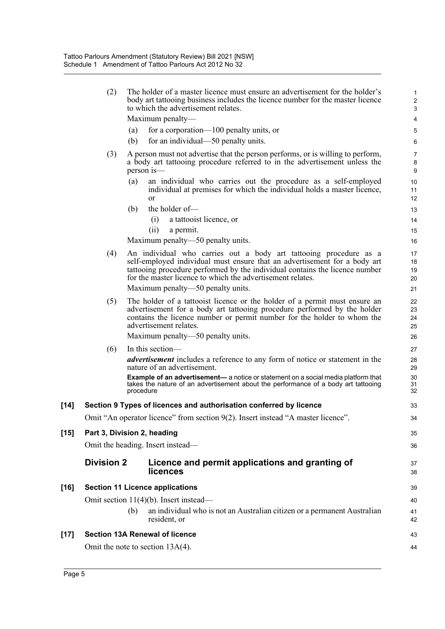(2) The holder of a master licence must ensure an advertisement for the holder's body art tattooing business includes the licence number for the master licence to which the advertisement relates.

35 36

37 38

43 44

Maximum penalty—

- (a) for a corporation—100 penalty units, or
- (b) for an individual—50 penalty units.
- (3) A person must not advertise that the person performs, or is willing to perform, a body art tattooing procedure referred to in the advertisement unless the person is—
	- (a) an individual who carries out the procedure as a self-employed individual at premises for which the individual holds a master licence, or
	- (b) the holder of—

(i) a tattooist licence, or

(ii) a permit.

Maximum penalty—50 penalty units.

(4) An individual who carries out a body art tattooing procedure as a self-employed individual must ensure that an advertisement for a body art tattooing procedure performed by the individual contains the licence number for the master licence to which the advertisement relates.

Maximum penalty—50 penalty units.

- (5) The holder of a tattooist licence or the holder of a permit must ensure an advertisement for a body art tattooing procedure performed by the holder contains the licence number or permit number for the holder to whom the advertisement relates. Maximum penalty—50 penalty units.
- (6) In this section—

*advertisement* includes a reference to any form of notice or statement in the nature of an advertisement.

**Example of an advertisement—** a notice or statement on a social media platform that takes the nature of an advertisement about the performance of a body art tattooing procedure

## **[14] Section 9 Types of licences and authorisation conferred by licence**

Omit "An operator licence" from section 9(2). Insert instead "A master licence".

#### **[15] Part 3, Division 2, heading**

Omit the heading. Insert instead—

#### **Division 2 Licence and permit applications and granting of licences**

**[16] Section 11 Licence applications**

Omit section 11(4)(b). Insert instead—

(b) an individual who is not an Australian citizen or a permanent Australian resident, or

#### **[17] Section 13A Renewal of licence**

Omit the note to section 13A(4).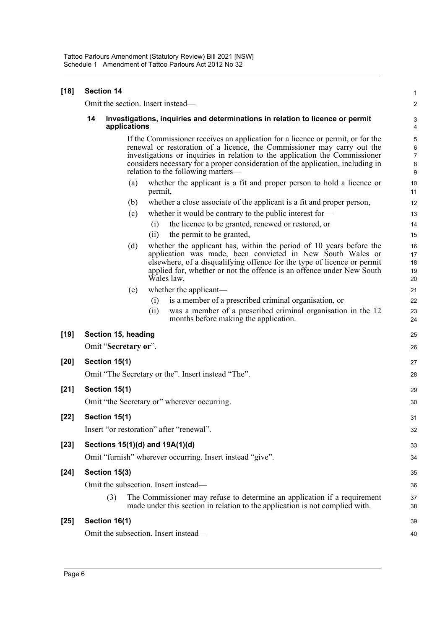| $[18]$ |    | <b>Section 14</b>                 |         |                                                                                                                                                                                                                                                                                                                                                                    | $\mathbf{1}$                             |
|--------|----|-----------------------------------|---------|--------------------------------------------------------------------------------------------------------------------------------------------------------------------------------------------------------------------------------------------------------------------------------------------------------------------------------------------------------------------|------------------------------------------|
|        |    | Omit the section. Insert instead— |         |                                                                                                                                                                                                                                                                                                                                                                    | $\boldsymbol{2}$                         |
|        | 14 | applications                      |         | Investigations, inquiries and determinations in relation to licence or permit                                                                                                                                                                                                                                                                                      | 3<br>4                                   |
|        |    |                                   |         | If the Commissioner receives an application for a licence or permit, or for the<br>renewal or restoration of a licence, the Commissioner may carry out the<br>investigations or inquiries in relation to the application the Commissioner<br>considers necessary for a proper consideration of the application, including in<br>relation to the following matters— | 5<br>$\,6\,$<br>$\overline{7}$<br>8<br>9 |
|        |    | (a)                               | permit, | whether the applicant is a fit and proper person to hold a licence or                                                                                                                                                                                                                                                                                              | 10<br>11                                 |
|        |    | (b)                               |         | whether a close associate of the applicant is a fit and proper person,                                                                                                                                                                                                                                                                                             | 12                                       |
|        |    | (c)                               |         | whether it would be contrary to the public interest for-                                                                                                                                                                                                                                                                                                           | 13                                       |
|        |    |                                   | (i)     | the licence to be granted, renewed or restored, or                                                                                                                                                                                                                                                                                                                 | 14                                       |
|        |    |                                   | (ii)    | the permit to be granted,                                                                                                                                                                                                                                                                                                                                          | 15                                       |
|        |    | (d)                               |         | whether the applicant has, within the period of 10 years before the<br>application was made, been convicted in New South Wales or<br>elsewhere, of a disqualifying offence for the type of licence or permit<br>applied for, whether or not the offence is an offence under New South<br>Wales law,                                                                | 16<br>17<br>18<br>19<br>20               |
|        |    | (e)                               |         | whether the applicant—                                                                                                                                                                                                                                                                                                                                             | 21                                       |
|        |    |                                   | (i)     | is a member of a prescribed criminal organisation, or                                                                                                                                                                                                                                                                                                              | 22                                       |
|        |    |                                   | (ii)    | was a member of a prescribed criminal organisation in the 12<br>months before making the application.                                                                                                                                                                                                                                                              | 23<br>24                                 |
| $[19]$ |    | Section 15, heading               |         |                                                                                                                                                                                                                                                                                                                                                                    | 25                                       |
|        |    | Omit "Secretary or".              |         |                                                                                                                                                                                                                                                                                                                                                                    | 26                                       |
| $[20]$ |    | Section 15(1)                     |         |                                                                                                                                                                                                                                                                                                                                                                    | 27                                       |
|        |    |                                   |         | Omit "The Secretary or the". Insert instead "The".                                                                                                                                                                                                                                                                                                                 | 28                                       |
| $[21]$ |    | Section 15(1)                     |         |                                                                                                                                                                                                                                                                                                                                                                    | 29                                       |
|        |    |                                   |         | Omit "the Secretary or" wherever occurring.                                                                                                                                                                                                                                                                                                                        | 30                                       |
| [22]   |    | Section 15(1)                     |         |                                                                                                                                                                                                                                                                                                                                                                    | 31                                       |
|        |    |                                   |         | Insert "or restoration" after "renewal".                                                                                                                                                                                                                                                                                                                           | 32                                       |
| $[23]$ |    | Sections 15(1)(d) and 19A(1)(d)   |         |                                                                                                                                                                                                                                                                                                                                                                    | 33                                       |
|        |    |                                   |         | Omit "furnish" wherever occurring. Insert instead "give".                                                                                                                                                                                                                                                                                                          | 34                                       |
| $[24]$ |    | Section 15(3)                     |         |                                                                                                                                                                                                                                                                                                                                                                    | 35                                       |
|        |    |                                   |         | Omit the subsection. Insert instead—                                                                                                                                                                                                                                                                                                                               | 36                                       |
|        |    | (3)                               |         | The Commissioner may refuse to determine an application if a requirement<br>made under this section in relation to the application is not complied with.                                                                                                                                                                                                           | 37<br>38                                 |
| $[25]$ |    | Section 16(1)                     |         |                                                                                                                                                                                                                                                                                                                                                                    | 39                                       |
|        |    |                                   |         | Omit the subsection. Insert instead—                                                                                                                                                                                                                                                                                                                               | 40                                       |
|        |    |                                   |         |                                                                                                                                                                                                                                                                                                                                                                    |                                          |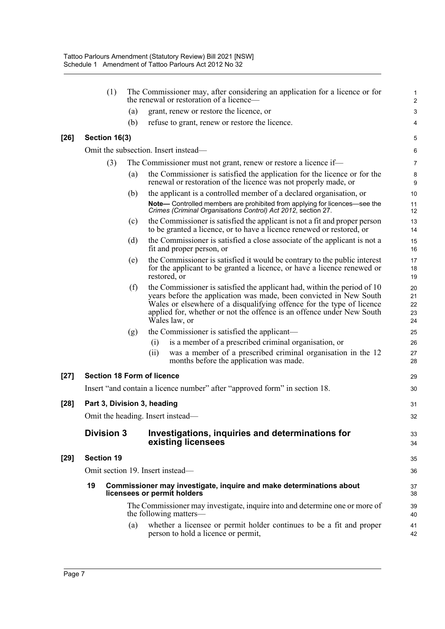|        | (1)                               |     | The Commissioner may, after considering an application for a licence or for<br>the renewal or restoration of a licence—                                                                                                                                                                                           | $\mathbf{1}$<br>$\overline{2}$ |
|--------|-----------------------------------|-----|-------------------------------------------------------------------------------------------------------------------------------------------------------------------------------------------------------------------------------------------------------------------------------------------------------------------|--------------------------------|
|        |                                   | (a) | grant, renew or restore the licence, or                                                                                                                                                                                                                                                                           | 3                              |
|        |                                   | (b) | refuse to grant, renew or restore the licence.                                                                                                                                                                                                                                                                    | 4                              |
| $[26]$ | Section 16(3)                     |     |                                                                                                                                                                                                                                                                                                                   | 5                              |
|        |                                   |     | Omit the subsection. Insert instead—                                                                                                                                                                                                                                                                              | $\,6\,$                        |
|        | (3)                               |     | The Commissioner must not grant, renew or restore a licence if—                                                                                                                                                                                                                                                   | $\overline{7}$                 |
|        |                                   | (a) | the Commissioner is satisfied the application for the licence or for the<br>renewal or restoration of the licence was not properly made, or                                                                                                                                                                       | 8<br>9                         |
|        |                                   | (b) | the applicant is a controlled member of a declared organisation, or                                                                                                                                                                                                                                               | 10                             |
|        |                                   |     | Note- Controlled members are prohibited from applying for licences-see the<br>Crimes (Criminal Organisations Control) Act 2012, section 27.                                                                                                                                                                       | 11<br>12                       |
|        |                                   | (c) | the Commissioner is satisfied the applicant is not a fit and proper person<br>to be granted a licence, or to have a licence renewed or restored, or                                                                                                                                                               | 13<br>14                       |
|        |                                   | (d) | the Commissioner is satisfied a close associate of the applicant is not a<br>fit and proper person, or                                                                                                                                                                                                            | 15<br>16                       |
|        |                                   | (e) | the Commissioner is satisfied it would be contrary to the public interest<br>for the applicant to be granted a licence, or have a licence renewed or<br>restored, or                                                                                                                                              | 17<br>18<br>19                 |
|        |                                   | (f) | the Commissioner is satisfied the applicant had, within the period of 10<br>years before the application was made, been convicted in New South<br>Wales or elsewhere of a disqualifying offence for the type of licence<br>applied for, whether or not the offence is an offence under New South<br>Wales law, or | 20<br>21<br>22<br>23<br>24     |
|        |                                   | (g) | the Commissioner is satisfied the applicant-<br>is a member of a prescribed criminal organisation, or<br>(i)<br>was a member of a prescribed criminal organisation in the 12<br>(ii)<br>months before the application was made.                                                                                   | 25<br>26<br>27<br>28           |
| $[27]$ | <b>Section 18 Form of licence</b> |     |                                                                                                                                                                                                                                                                                                                   | 29                             |
|        |                                   |     | Insert "and contain a licence number" after "approved form" in section 18.                                                                                                                                                                                                                                        | 30                             |
| $[28]$ | Part 3, Division 3, heading       |     |                                                                                                                                                                                                                                                                                                                   | 31                             |
|        |                                   |     | Omit the heading. Insert instead—                                                                                                                                                                                                                                                                                 | 32                             |
|        | <b>Division 3</b>                 |     | Investigations, inquiries and determinations for<br>existing licensees                                                                                                                                                                                                                                            | 33<br>34                       |
| $[29]$ | <b>Section 19</b>                 |     |                                                                                                                                                                                                                                                                                                                   | 35                             |
|        |                                   |     | Omit section 19. Insert instead-                                                                                                                                                                                                                                                                                  | 36                             |
|        | 19                                |     | Commissioner may investigate, inquire and make determinations about<br>licensees or permit holders                                                                                                                                                                                                                | 37<br>38                       |
|        |                                   |     | The Commissioner may investigate, inquire into and determine one or more of<br>the following matters-                                                                                                                                                                                                             | 39<br>40                       |
|        |                                   | (a) | whether a licensee or permit holder continues to be a fit and proper<br>person to hold a licence or permit,                                                                                                                                                                                                       | 41<br>42                       |
|        |                                   |     |                                                                                                                                                                                                                                                                                                                   |                                |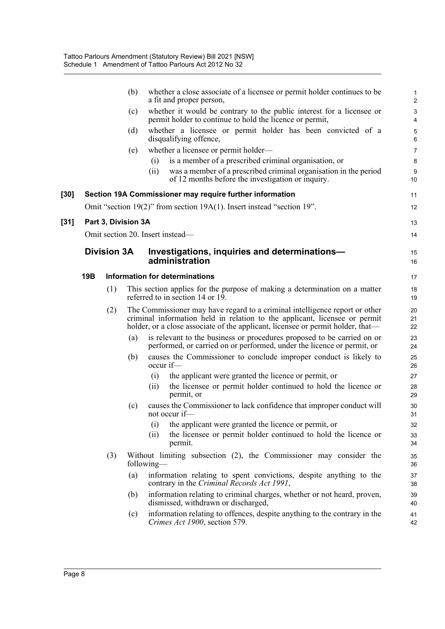|        |     |                     | (b) |            | whether a close associate of a licensee or permit holder continues to be<br>a fit and proper person,                                                                                                                                         | $\mathbf{1}$<br>$\overline{2}$ |
|--------|-----|---------------------|-----|------------|----------------------------------------------------------------------------------------------------------------------------------------------------------------------------------------------------------------------------------------------|--------------------------------|
|        |     |                     | (c) |            | whether it would be contrary to the public interest for a licensee or<br>permit holder to continue to hold the licence or permit,                                                                                                            | 3<br>$\overline{4}$            |
|        |     |                     | (d) |            | whether a licensee or permit holder has been convicted of a<br>disqualifying offence,                                                                                                                                                        | 5<br>$6\phantom{1}$            |
|        |     |                     | (e) |            | whether a licensee or permit holder—                                                                                                                                                                                                         | $\overline{7}$                 |
|        |     |                     |     | (i)        | is a member of a prescribed criminal organisation, or                                                                                                                                                                                        | 8                              |
|        |     |                     |     | (ii)       | was a member of a prescribed criminal organisation in the period<br>of 12 months before the investigation or inquiry.                                                                                                                        | $\boldsymbol{9}$<br>10         |
| $[30]$ |     |                     |     |            | Section 19A Commissioner may require further information                                                                                                                                                                                     | 11                             |
|        |     |                     |     |            | Omit "section 19(2)" from section 19A(1). Insert instead "section 19".                                                                                                                                                                       | 12                             |
| $[31]$ |     | Part 3, Division 3A |     |            |                                                                                                                                                                                                                                              | 13                             |
|        |     |                     |     |            | Omit section 20. Insert instead-                                                                                                                                                                                                             | 14                             |
|        |     | <b>Division 3A</b>  |     |            | Investigations, inquiries and determinations-                                                                                                                                                                                                | 15                             |
|        |     |                     |     |            | administration                                                                                                                                                                                                                               | 16                             |
|        | 19B |                     |     |            | Information for determinations                                                                                                                                                                                                               | 17                             |
|        |     | (1)                 |     |            | This section applies for the purpose of making a determination on a matter<br>referred to in section 14 or 19.                                                                                                                               | 18<br>19                       |
|        |     | (2)                 |     |            | The Commissioner may have regard to a criminal intelligence report or other<br>criminal information held in relation to the applicant, licensee or permit<br>holder, or a close associate of the applicant, licensee or permit holder, that— | 20<br>21<br>22                 |
|        |     |                     | (a) |            | is relevant to the business or procedures proposed to be carried on or<br>performed, or carried on or performed, under the licence or permit, or                                                                                             | 23<br>24                       |
|        |     |                     | (b) | occur if-  | causes the Commissioner to conclude improper conduct is likely to                                                                                                                                                                            | 25<br>26                       |
|        |     |                     |     | (i)        | the applicant were granted the licence or permit, or                                                                                                                                                                                         | 27                             |
|        |     |                     |     | (i)        | the licensee or permit holder continued to hold the licence or<br>permit, or                                                                                                                                                                 | 28<br>29                       |
|        |     |                     | (c) |            | causes the Commissioner to lack confidence that improper conduct will<br>not occur if-                                                                                                                                                       | 30<br>31                       |
|        |     |                     |     | (i)        | the applicant were granted the licence or permit, or                                                                                                                                                                                         | 32                             |
|        |     |                     |     | (ii)       | the licensee or permit holder continued to hold the licence or<br>permit.                                                                                                                                                                    | 33<br>34                       |
|        |     | (3)                 |     | following— | Without limiting subsection (2), the Commissioner may consider the                                                                                                                                                                           | 35<br>36                       |
|        |     |                     | (a) |            | information relating to spent convictions, despite anything to the<br>contrary in the Criminal Records Act 1991,                                                                                                                             | 37<br>38                       |
|        |     |                     | (b) |            | information relating to criminal charges, whether or not heard, proven,<br>dismissed, withdrawn or discharged,                                                                                                                               | 39<br>40                       |
|        |     |                     | (c) |            | information relating to offences, despite anything to the contrary in the<br>Crimes Act 1900, section 579.                                                                                                                                   | 41<br>42                       |
|        |     |                     |     |            |                                                                                                                                                                                                                                              |                                |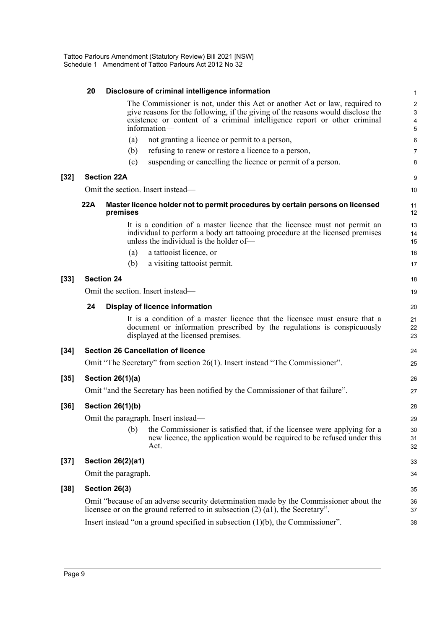|        | 20  | Disclosure of criminal intelligence information                                                                                                                                                                                                           | 1                                        |
|--------|-----|-----------------------------------------------------------------------------------------------------------------------------------------------------------------------------------------------------------------------------------------------------------|------------------------------------------|
|        |     | The Commissioner is not, under this Act or another Act or law, required to<br>give reasons for the following, if the giving of the reasons would disclose the<br>existence or content of a criminal intelligence report or other criminal<br>information- | $\overline{2}$<br>$\mathbf{3}$<br>4<br>5 |
|        |     | (a)<br>not granting a licence or permit to a person,                                                                                                                                                                                                      | 6                                        |
|        |     | refusing to renew or restore a licence to a person,<br>(b)                                                                                                                                                                                                | 7                                        |
|        |     | suspending or cancelling the licence or permit of a person.<br>(c)                                                                                                                                                                                        | 8                                        |
| $[32]$ |     | <b>Section 22A</b>                                                                                                                                                                                                                                        | 9                                        |
|        |     | Omit the section. Insert instead—                                                                                                                                                                                                                         | 10                                       |
|        | 22A | Master licence holder not to permit procedures by certain persons on licensed<br>premises                                                                                                                                                                 | 11<br>12                                 |
|        |     | It is a condition of a master licence that the licensee must not permit an<br>individual to perform a body art tattooing procedure at the licensed premises<br>unless the individual is the holder of—                                                    | 13<br>14<br>15                           |
|        |     | a tattooist licence, or<br>(a)                                                                                                                                                                                                                            | 16                                       |
|        |     | (b)<br>a visiting tattooist permit.                                                                                                                                                                                                                       | 17                                       |
| $[33]$ |     | <b>Section 24</b>                                                                                                                                                                                                                                         | 18                                       |
|        |     | Omit the section. Insert instead—                                                                                                                                                                                                                         | 19                                       |
|        | 24  | <b>Display of licence information</b>                                                                                                                                                                                                                     | 20                                       |
|        |     | It is a condition of a master licence that the licensee must ensure that a<br>document or information prescribed by the regulations is conspicuously<br>displayed at the licensed premises.                                                               | 21<br>22<br>23                           |
| $[34]$ |     | <b>Section 26 Cancellation of licence</b>                                                                                                                                                                                                                 | 24                                       |
|        |     | Omit "The Secretary" from section 26(1). Insert instead "The Commissioner".                                                                                                                                                                               | 25                                       |
| $[35]$ |     | <b>Section 26(1)(a)</b>                                                                                                                                                                                                                                   | 26                                       |
|        |     | Omit "and the Secretary has been notified by the Commissioner of that failure".                                                                                                                                                                           | 27                                       |
| [36]   |     | Section 26(1)(b)                                                                                                                                                                                                                                          | 28                                       |
|        |     | Omit the paragraph. Insert instead—                                                                                                                                                                                                                       | 29                                       |
|        |     | (b)<br>the Commissioner is satisfied that, if the licensee were applying for a<br>new licence, the application would be required to be refused under this<br>Act.                                                                                         | 30<br>31<br>32                           |
| $[37]$ |     | <b>Section 26(2)(a1)</b>                                                                                                                                                                                                                                  | 33                                       |
|        |     | Omit the paragraph.                                                                                                                                                                                                                                       | 34                                       |
| $[38]$ |     | Section 26(3)                                                                                                                                                                                                                                             | 35                                       |
|        |     | Omit "because of an adverse security determination made by the Commissioner about the<br>licensee or on the ground referred to in subsection $(2)$ $(41)$ , the Secretary".                                                                               | 36<br>37                                 |
|        |     | Insert instead "on a ground specified in subsection $(1)(b)$ , the Commissioner".                                                                                                                                                                         | 38                                       |
|        |     |                                                                                                                                                                                                                                                           |                                          |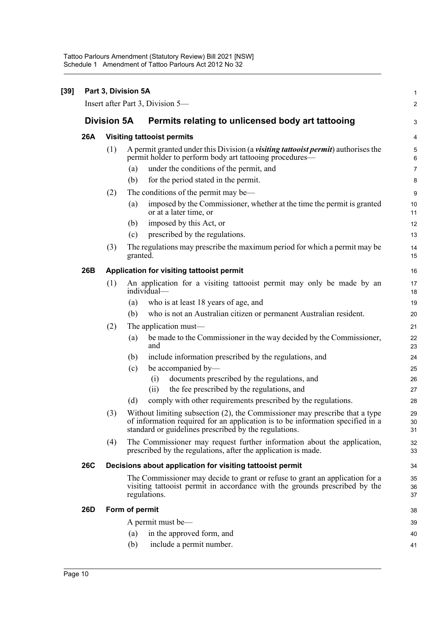|            |                    | Part 3, Division 5A                                                                                                                                                                                                    |  |
|------------|--------------------|------------------------------------------------------------------------------------------------------------------------------------------------------------------------------------------------------------------------|--|
|            |                    | Insert after Part 3, Division 5—                                                                                                                                                                                       |  |
|            | <b>Division 5A</b> | Permits relating to unlicensed body art tattooing                                                                                                                                                                      |  |
| 26A        |                    | <b>Visiting tattooist permits</b>                                                                                                                                                                                      |  |
|            | (1)                | A permit granted under this Division (a <i>visiting tattooist permit</i> ) authorises the<br>permit holder to perform body art tattooing procedures—                                                                   |  |
|            |                    | under the conditions of the permit, and<br>(a)                                                                                                                                                                         |  |
|            |                    | for the period stated in the permit.<br>(b)                                                                                                                                                                            |  |
|            | (2)                | The conditions of the permit may be—                                                                                                                                                                                   |  |
|            |                    | imposed by the Commissioner, whether at the time the permit is granted<br>(a)<br>or at a later time, or                                                                                                                |  |
|            |                    | imposed by this Act, or<br>(b)                                                                                                                                                                                         |  |
|            |                    | prescribed by the regulations.<br>(c)                                                                                                                                                                                  |  |
|            | (3)                | The regulations may prescribe the maximum period for which a permit may be<br>granted.                                                                                                                                 |  |
| 26B        |                    | Application for visiting tattooist permit                                                                                                                                                                              |  |
|            | (1)                | An application for a visiting tattooist permit may only be made by an<br>individual-                                                                                                                                   |  |
|            |                    | who is at least 18 years of age, and<br>(a)                                                                                                                                                                            |  |
|            |                    | who is not an Australian citizen or permanent Australian resident.<br>(b)                                                                                                                                              |  |
|            | (2)                | The application must—                                                                                                                                                                                                  |  |
|            |                    | be made to the Commissioner in the way decided by the Commissioner,<br>(a)<br>and                                                                                                                                      |  |
|            |                    | include information prescribed by the regulations, and<br>(b)                                                                                                                                                          |  |
|            |                    | be accompanied by-<br>(c)                                                                                                                                                                                              |  |
|            |                    | documents prescribed by the regulations, and<br>(i)                                                                                                                                                                    |  |
|            |                    | the fee prescribed by the regulations, and<br>(ii)                                                                                                                                                                     |  |
|            |                    | comply with other requirements prescribed by the regulations.<br>(d)                                                                                                                                                   |  |
|            | (3)                | Without limiting subsection (2), the Commissioner may prescribe that a type<br>of information required for an application is to be information specified in a<br>standard or guidelines prescribed by the regulations. |  |
|            | (4)                | The Commissioner may request further information about the application,<br>prescribed by the regulations, after the application is made.                                                                               |  |
| <b>26C</b> |                    | Decisions about application for visiting tattooist permit                                                                                                                                                              |  |
|            |                    | The Commissioner may decide to grant or refuse to grant an application for a<br>visiting tattooist permit in accordance with the grounds prescribed by the<br>regulations.                                             |  |
| <b>26D</b> |                    | Form of permit                                                                                                                                                                                                         |  |
|            |                    | A permit must be—                                                                                                                                                                                                      |  |
|            |                    | in the approved form, and<br>(a)                                                                                                                                                                                       |  |
|            |                    | (b)<br>include a permit number.                                                                                                                                                                                        |  |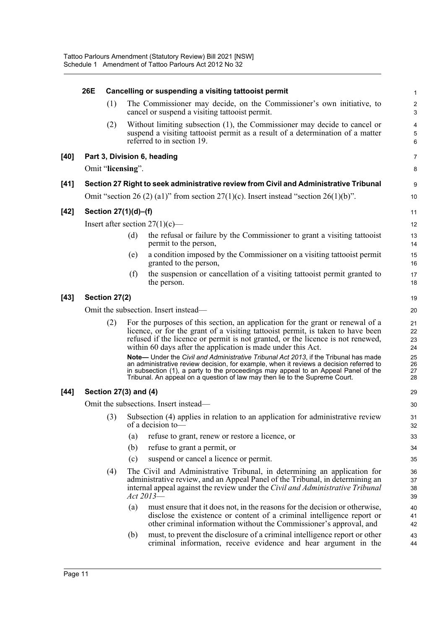|      | 26E |                       |     | Cancelling or suspending a visiting tattooist permit                                                                                                                                                                                                                                                                                                                                                                                                                                                                                                                                                                                                                        | 1                                            |
|------|-----|-----------------------|-----|-----------------------------------------------------------------------------------------------------------------------------------------------------------------------------------------------------------------------------------------------------------------------------------------------------------------------------------------------------------------------------------------------------------------------------------------------------------------------------------------------------------------------------------------------------------------------------------------------------------------------------------------------------------------------------|----------------------------------------------|
|      |     | (1)                   |     | The Commissioner may decide, on the Commissioner's own initiative, to<br>cancel or suspend a visiting tattooist permit.                                                                                                                                                                                                                                                                                                                                                                                                                                                                                                                                                     | $\sqrt{2}$<br>3                              |
|      |     | (2)                   |     | Without limiting subsection (1), the Commissioner may decide to cancel or<br>suspend a visiting tattooist permit as a result of a determination of a matter<br>referred to in section 19.                                                                                                                                                                                                                                                                                                                                                                                                                                                                                   | 4<br>5<br>6                                  |
| [40] |     |                       |     | Part 3, Division 6, heading                                                                                                                                                                                                                                                                                                                                                                                                                                                                                                                                                                                                                                                 | 7                                            |
|      |     | Omit "licensing".     |     |                                                                                                                                                                                                                                                                                                                                                                                                                                                                                                                                                                                                                                                                             | 8                                            |
| [41] |     |                       |     | Section 27 Right to seek administrative review from Civil and Administrative Tribunal                                                                                                                                                                                                                                                                                                                                                                                                                                                                                                                                                                                       | 9                                            |
|      |     |                       |     | Omit "section 26 (2) (a1)" from section 27(1)(c). Insert instead "section 26(1)(b)".                                                                                                                                                                                                                                                                                                                                                                                                                                                                                                                                                                                        | 10                                           |
| [42] |     | Section 27(1)(d)-(f)  |     |                                                                                                                                                                                                                                                                                                                                                                                                                                                                                                                                                                                                                                                                             | 11                                           |
|      |     |                       |     | Insert after section $27(1)(c)$ —                                                                                                                                                                                                                                                                                                                                                                                                                                                                                                                                                                                                                                           | 12                                           |
|      |     |                       | (d) | the refusal or failure by the Commissioner to grant a visiting tattooist<br>permit to the person,                                                                                                                                                                                                                                                                                                                                                                                                                                                                                                                                                                           | 13<br>14                                     |
|      |     |                       | (e) | a condition imposed by the Commissioner on a visiting tattooist permit<br>granted to the person,                                                                                                                                                                                                                                                                                                                                                                                                                                                                                                                                                                            | 15<br>16                                     |
|      |     |                       | (f) | the suspension or cancellation of a visiting tattooist permit granted to<br>the person.                                                                                                                                                                                                                                                                                                                                                                                                                                                                                                                                                                                     | 17<br>18                                     |
| [43] |     | Section 27(2)         |     |                                                                                                                                                                                                                                                                                                                                                                                                                                                                                                                                                                                                                                                                             | 19                                           |
|      |     |                       |     | Omit the subsection. Insert instead—                                                                                                                                                                                                                                                                                                                                                                                                                                                                                                                                                                                                                                        | 20                                           |
|      |     | (2)                   |     | For the purposes of this section, an application for the grant or renewal of a<br>licence, or for the grant of a visiting tattooist permit, is taken to have been<br>refused if the licence or permit is not granted, or the licence is not renewed,<br>within 60 days after the application is made under this Act.<br>Note- Under the Civil and Administrative Tribunal Act 2013, if the Tribunal has made<br>an administrative review decision, for example, when it reviews a decision referred to<br>in subsection (1), a party to the proceedings may appeal to an Appeal Panel of the<br>Tribunal. An appeal on a question of law may then lie to the Supreme Court. | 21<br>22<br>23<br>24<br>25<br>26<br>27<br>28 |
| [44] |     | Section 27(3) and (4) |     |                                                                                                                                                                                                                                                                                                                                                                                                                                                                                                                                                                                                                                                                             | 29                                           |
|      |     |                       |     | Omit the subsections. Insert instead—                                                                                                                                                                                                                                                                                                                                                                                                                                                                                                                                                                                                                                       | 30                                           |
|      |     | (3)                   |     | Subsection (4) applies in relation to an application for administrative review<br>of a decision to-                                                                                                                                                                                                                                                                                                                                                                                                                                                                                                                                                                         | 31<br>32                                     |
|      |     |                       | (a) | refuse to grant, renew or restore a licence, or                                                                                                                                                                                                                                                                                                                                                                                                                                                                                                                                                                                                                             | 33                                           |
|      |     |                       | (b) | refuse to grant a permit, or                                                                                                                                                                                                                                                                                                                                                                                                                                                                                                                                                                                                                                                | 34                                           |
|      |     |                       | (c) | suspend or cancel a licence or permit.                                                                                                                                                                                                                                                                                                                                                                                                                                                                                                                                                                                                                                      | 35                                           |
|      |     | (4)                   |     | The Civil and Administrative Tribunal, in determining an application for<br>administrative review, and an Appeal Panel of the Tribunal, in determining an<br>internal appeal against the review under the Civil and Administrative Tribunal<br>$Act 2013$ <sup>---</sup>                                                                                                                                                                                                                                                                                                                                                                                                    | 36<br>37<br>38<br>39                         |
|      |     |                       | (a) | must ensure that it does not, in the reasons for the decision or otherwise,<br>disclose the existence or content of a criminal intelligence report or<br>other criminal information without the Commissioner's approval, and                                                                                                                                                                                                                                                                                                                                                                                                                                                | 40<br>41<br>42                               |
|      |     |                       | (b) | must, to prevent the disclosure of a criminal intelligence report or other<br>criminal information, receive evidence and hear argument in the                                                                                                                                                                                                                                                                                                                                                                                                                                                                                                                               | 43<br>44                                     |
|      |     |                       |     |                                                                                                                                                                                                                                                                                                                                                                                                                                                                                                                                                                                                                                                                             |                                              |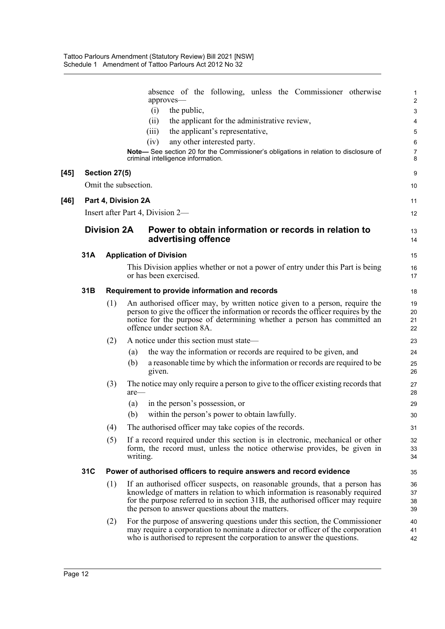|        |     |                    | absence of the following, unless the Commissioner otherwise<br>approves-                                                                                                                                                                                                                           | $\mathbf{1}$<br>$\overline{2}$ |
|--------|-----|--------------------|----------------------------------------------------------------------------------------------------------------------------------------------------------------------------------------------------------------------------------------------------------------------------------------------------|--------------------------------|
|        |     |                    | (i)<br>the public,                                                                                                                                                                                                                                                                                 | 3                              |
|        |     |                    | the applicant for the administrative review,<br>(ii)                                                                                                                                                                                                                                               | 4                              |
|        |     |                    | the applicant's representative,<br>(iii)                                                                                                                                                                                                                                                           | 5                              |
|        |     |                    | any other interested party.<br>(iv)                                                                                                                                                                                                                                                                | 6                              |
|        |     |                    | Note-See section 20 for the Commissioner's obligations in relation to disclosure of<br>criminal intelligence information.                                                                                                                                                                          | $\overline{7}$<br>8            |
| $[45]$ |     | Section 27(5)      |                                                                                                                                                                                                                                                                                                    | 9                              |
|        |     |                    | Omit the subsection.                                                                                                                                                                                                                                                                               | 10                             |
| $[46]$ |     |                    | Part 4, Division 2A                                                                                                                                                                                                                                                                                | 11                             |
|        |     |                    | Insert after Part 4, Division 2—                                                                                                                                                                                                                                                                   | 12                             |
|        |     | <b>Division 2A</b> | Power to obtain information or records in relation to<br>advertising offence                                                                                                                                                                                                                       | 13<br>14                       |
|        | 31A |                    | <b>Application of Division</b>                                                                                                                                                                                                                                                                     | 15                             |
|        |     |                    | This Division applies whether or not a power of entry under this Part is being<br>or has been exercised.                                                                                                                                                                                           | 16<br>17                       |
|        | 31B |                    | Requirement to provide information and records                                                                                                                                                                                                                                                     | 18                             |
|        |     | (1)                | An authorised officer may, by written notice given to a person, require the<br>person to give the officer the information or records the officer requires by the<br>notice for the purpose of determining whether a person has committed an<br>offence under section 8A.                           | 19<br>20<br>21<br>22           |
|        |     | (2)                | A notice under this section must state—                                                                                                                                                                                                                                                            | 23                             |
|        |     |                    | the way the information or records are required to be given, and<br>(a)                                                                                                                                                                                                                            | 24                             |
|        |     |                    | a reasonable time by which the information or records are required to be<br>(b)<br>given.                                                                                                                                                                                                          | 25<br>26                       |
|        |     | (3)                | The notice may only require a person to give to the officer existing records that<br>$are$ —                                                                                                                                                                                                       | 27<br>28                       |
|        |     |                    | (a)<br>in the person's possession, or                                                                                                                                                                                                                                                              | 29                             |
|        |     |                    | (b)<br>within the person's power to obtain lawfully.                                                                                                                                                                                                                                               | 30                             |
|        |     | (4)                | The authorised officer may take copies of the records.                                                                                                                                                                                                                                             | 31                             |
|        |     | (5)                | If a record required under this section is in electronic, mechanical or other<br>form, the record must, unless the notice otherwise provides, be given in<br>writing.                                                                                                                              | 32<br>33<br>34                 |
|        | 31C |                    | Power of authorised officers to require answers and record evidence                                                                                                                                                                                                                                | 35                             |
|        |     | (1)                | If an authorised officer suspects, on reasonable grounds, that a person has<br>knowledge of matters in relation to which information is reasonably required<br>for the purpose referred to in section 31B, the authorised officer may require<br>the person to answer questions about the matters. | 36<br>37<br>38<br>39           |
|        |     | (2)                | For the purpose of answering questions under this section, the Commissioner<br>may require a corporation to nominate a director or officer of the corporation<br>who is authorised to represent the corporation to answer the questions.                                                           | 40<br>41<br>42                 |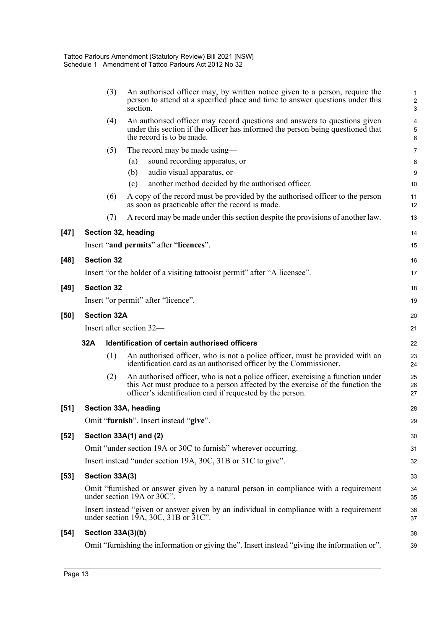|        | (3)                 | An authorised officer may, by written notice given to a person, require the<br>person to attend at a specified place and time to answer questions under this<br>section.                                                       | $\mathbf 1$<br>$\overline{c}$<br>3 |
|--------|---------------------|--------------------------------------------------------------------------------------------------------------------------------------------------------------------------------------------------------------------------------|------------------------------------|
|        | (4)                 | An authorised officer may record questions and answers to questions given<br>under this section if the officer has informed the person being questioned that<br>the record is to be made.                                      | $\overline{\mathbf{4}}$<br>5<br>6  |
|        | (5)                 | The record may be made using—                                                                                                                                                                                                  | $\overline{7}$                     |
|        |                     | sound recording apparatus, or<br>(a)                                                                                                                                                                                           | 8                                  |
|        |                     | (b)<br>audio visual apparatus, or                                                                                                                                                                                              | 9                                  |
|        |                     | another method decided by the authorised officer.<br>(c)                                                                                                                                                                       | 10                                 |
|        | (6)                 | A copy of the record must be provided by the authorised officer to the person<br>as soon as practicable after the record is made.                                                                                              | 11<br>12                           |
|        | (7)                 | A record may be made under this section despite the provisions of another law.                                                                                                                                                 | 13                                 |
| $[47]$ | Section 32, heading |                                                                                                                                                                                                                                | 14                                 |
|        |                     | Insert "and permits" after "licences".                                                                                                                                                                                         | 15                                 |
| $[48]$ | <b>Section 32</b>   |                                                                                                                                                                                                                                | 16                                 |
|        |                     | Insert "or the holder of a visiting tattooist permit" after "A licensee".                                                                                                                                                      | 17                                 |
|        |                     |                                                                                                                                                                                                                                |                                    |
| $[49]$ | <b>Section 32</b>   |                                                                                                                                                                                                                                | 18                                 |
|        |                     | Insert "or permit" after "licence".                                                                                                                                                                                            | 19                                 |
| [50]   | <b>Section 32A</b>  |                                                                                                                                                                                                                                | 20                                 |
|        |                     | Insert after section 32—                                                                                                                                                                                                       | 21                                 |
|        | 32A                 | Identification of certain authorised officers                                                                                                                                                                                  | 22                                 |
|        | (1)                 | An authorised officer, who is not a police officer, must be provided with an<br>identification card as an authorised officer by the Commissioner.                                                                              | 23<br>24                           |
|        | (2)                 | An authorised officer, who is not a police officer, exercising a function under<br>this Act must produce to a person affected by the exercise of the function the<br>officer's identification card if requested by the person. | 25<br>26<br>27                     |
| $[51]$ |                     | Section 33A, heading                                                                                                                                                                                                           | 28                                 |
|        |                     | Omit "furnish". Insert instead "give".                                                                                                                                                                                         | 29                                 |
| $[52]$ |                     | Section 33A(1) and (2)                                                                                                                                                                                                         | 30                                 |
|        |                     | Omit "under section 19A or 30C to furnish" wherever occurring.                                                                                                                                                                 | 31                                 |
|        |                     | Insert instead "under section 19A, 30C, 31B or 31C to give".                                                                                                                                                                   | 32                                 |
| $[53]$ |                     |                                                                                                                                                                                                                                |                                    |
|        |                     |                                                                                                                                                                                                                                |                                    |
|        | Section 33A(3)      |                                                                                                                                                                                                                                | 33                                 |
|        |                     | Omit "furnished or answer given by a natural person in compliance with a requirement<br>under section 19A or 30C".                                                                                                             | 34<br>35                           |
|        |                     | Insert instead "given or answer given by an individual in compliance with a requirement<br>under section 19A, 30C, 31B or $31C$ .                                                                                              | 36<br>37                           |
| $[54]$ | Section 33A(3)(b)   |                                                                                                                                                                                                                                | 38                                 |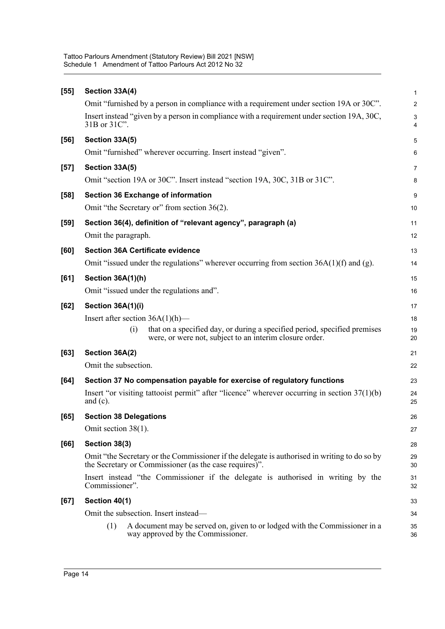| $[55]$ | Section 33A(4)                                                                                                                                         | $\mathbf 1$                    |
|--------|--------------------------------------------------------------------------------------------------------------------------------------------------------|--------------------------------|
|        | Omit "furnished by a person in compliance with a requirement under section 19A or 30C".                                                                | $\overline{c}$                 |
|        | Insert instead "given by a person in compliance with a requirement under section 19A, 30C,<br>31B or 31C".                                             | $\ensuremath{\mathsf{3}}$<br>4 |
| [56]   | Section 33A(5)                                                                                                                                         | 5                              |
|        | Omit "furnished" wherever occurring. Insert instead "given".                                                                                           | 6                              |
| $[57]$ | Section 33A(5)<br>Omit "section 19A or 30C". Insert instead "section 19A, 30C, 31B or 31C".                                                            | $\overline{7}$<br>8            |
| $[58]$ | <b>Section 36 Exchange of information</b>                                                                                                              | 9                              |
|        | Omit "the Secretary or" from section 36(2).                                                                                                            | 10                             |
| $[59]$ | Section 36(4), definition of "relevant agency", paragraph (a)<br>Omit the paragraph.                                                                   | 11<br>12                       |
| [60]   | <b>Section 36A Certificate evidence</b>                                                                                                                | 13                             |
|        | Omit "issued under the regulations" wherever occurring from section $36A(1)(f)$ and (g).                                                               | 14                             |
| [61]   | Section 36A(1)(h)                                                                                                                                      | 15                             |
|        | Omit "issued under the regulations and".                                                                                                               | 16                             |
| [62]   | Section 36A(1)(i)                                                                                                                                      | 17                             |
|        | Insert after section $36A(1)(h)$ —                                                                                                                     | 18                             |
|        | that on a specified day, or during a specified period, specified premises<br>(i)<br>were, or were not, subject to an interim closure order.            | 19<br>20                       |
| [63]   | Section 36A(2)                                                                                                                                         | 21                             |
|        | Omit the subsection.                                                                                                                                   | 22                             |
| [64]   | Section 37 No compensation payable for exercise of regulatory functions                                                                                | 23                             |
|        | Insert "or visiting tattooist permit" after "licence" wherever occurring in section $37(1)(b)$<br>and $(c)$ .                                          | 24<br>25                       |
| [65]   | <b>Section 38 Delegations</b>                                                                                                                          | 26                             |
|        | Omit section 38(1).                                                                                                                                    | 27                             |
| [66]   | Section 38(3)                                                                                                                                          | 28                             |
|        | Omit "the Secretary or the Commissioner if the delegate is authorised in writing to do so by<br>the Secretary or Commissioner (as the case requires)". | 29<br>30                       |
|        | Insert instead "the Commissioner if the delegate is authorised in writing by the<br>Commissioner".                                                     | 31<br>32                       |
| [67]   | Section 40(1)                                                                                                                                          | 33                             |
|        | Omit the subsection. Insert instead—                                                                                                                   | 34                             |
|        | A document may be served on, given to or lodged with the Commissioner in a<br>(1)<br>way approved by the Commissioner.                                 | 35<br>36                       |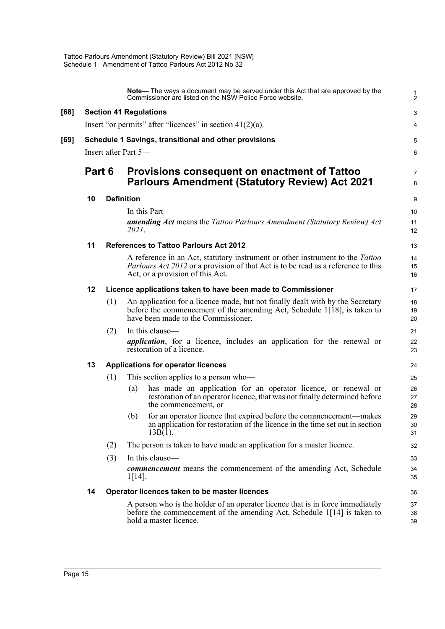|      |                      |                   |                                                                                                       | Note— The ways a document may be served under this Act that are approved by the<br>Commissioner are listed on the NSW Police Force website.                                                                          | $\frac{1}{2}$       |
|------|----------------------|-------------------|-------------------------------------------------------------------------------------------------------|----------------------------------------------------------------------------------------------------------------------------------------------------------------------------------------------------------------------|---------------------|
| [68] |                      |                   |                                                                                                       | <b>Section 41 Regulations</b>                                                                                                                                                                                        | 3                   |
|      |                      |                   |                                                                                                       | Insert "or permits" after "licences" in section $41(2)(a)$ .                                                                                                                                                         | 4                   |
| [69] |                      |                   |                                                                                                       | Schedule 1 Savings, transitional and other provisions                                                                                                                                                                | 5                   |
|      | Insert after Part 5- |                   |                                                                                                       |                                                                                                                                                                                                                      |                     |
|      | Part 6               |                   | Provisions consequent on enactment of Tattoo<br><b>Parlours Amendment (Statutory Review) Act 2021</b> |                                                                                                                                                                                                                      | $\overline{7}$<br>8 |
|      | 10                   | <b>Definition</b> |                                                                                                       | 9                                                                                                                                                                                                                    |                     |
|      |                      |                   |                                                                                                       | In this Part—                                                                                                                                                                                                        | 10                  |
|      |                      |                   | 2021.                                                                                                 | <b>amending Act</b> means the Tattoo Parlours Amendment (Statutory Review) Act                                                                                                                                       | 11<br>12            |
|      | 11                   |                   |                                                                                                       | <b>References to Tattoo Parlours Act 2012</b>                                                                                                                                                                        | 13                  |
|      |                      |                   |                                                                                                       | A reference in an Act, statutory instrument or other instrument to the <i>Tattoo</i><br><i>Parlours Act 2012</i> or a provision of that Act is to be read as a reference to this<br>Act, or a provision of this Act. | 14<br>15<br>16      |
|      | 12                   |                   |                                                                                                       | Licence applications taken to have been made to Commissioner                                                                                                                                                         | 17                  |
|      |                      | (1)               |                                                                                                       | An application for a licence made, but not finally dealt with by the Secretary<br>before the commencement of the amending Act, Schedule $1\overline{18}$ , is taken to<br>have been made to the Commissioner.        | 18<br>19<br>20      |
|      |                      | (2)               |                                                                                                       | In this clause-                                                                                                                                                                                                      | 21                  |
|      |                      |                   |                                                                                                       | <i>application</i> , for a licence, includes an application for the renewal or<br>restoration of a licence.                                                                                                          | 22<br>23            |
|      | 13                   |                   |                                                                                                       | <b>Applications for operator licences</b>                                                                                                                                                                            | 24                  |
|      |                      | (1)               |                                                                                                       | This section applies to a person who-                                                                                                                                                                                | 25                  |
|      |                      |                   | (a)                                                                                                   | has made an application for an operator licence, or renewal or<br>restoration of an operator licence, that was not finally determined before<br>the commencement, or                                                 | 26<br>27<br>28      |
|      |                      |                   | (b)                                                                                                   | for an operator licence that expired before the commencement—makes<br>an application for restoration of the licence in the time set out in section<br>$13B(1)$ .                                                     | 29<br>30<br>31      |
|      |                      | (2)               |                                                                                                       | The person is taken to have made an application for a master licence.                                                                                                                                                | 32                  |
|      |                      | (3)               |                                                                                                       | In this clause-                                                                                                                                                                                                      | 33                  |
|      |                      |                   | $1[14]$ .                                                                                             | <b><i>commencement</i></b> means the commencement of the amending Act, Schedule                                                                                                                                      | 34<br>35            |
|      | 14                   |                   |                                                                                                       | Operator licences taken to be master licences                                                                                                                                                                        | 36                  |
|      |                      |                   |                                                                                                       | A person who is the holder of an operator licence that is in force immediately<br>before the commencement of the amending Act, Schedule 1[14] is taken to<br>hold a master licence.                                  | 37<br>38<br>39      |

**[68]**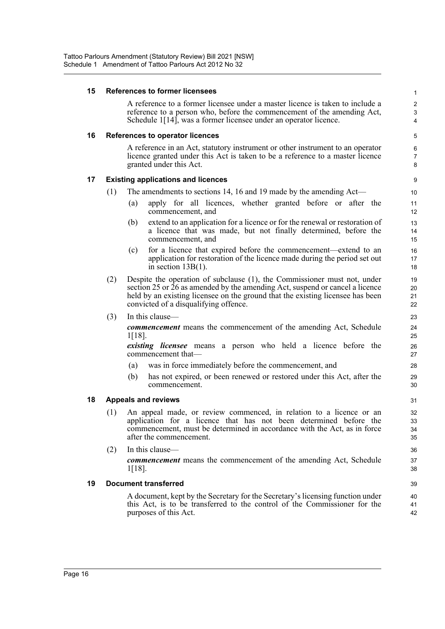| 15 |     | <b>References to former licensees</b>                                                                                                                                                                                                                                                 | 1                                                |
|----|-----|---------------------------------------------------------------------------------------------------------------------------------------------------------------------------------------------------------------------------------------------------------------------------------------|--------------------------------------------------|
|    |     | A reference to a former licensee under a master licence is taken to include a<br>reference to a person who, before the commencement of the amending Act,<br>Schedule 1[14], was a former licensee under an operator licence.                                                          | $\overline{c}$<br>$\ensuremath{\mathsf{3}}$<br>4 |
| 16 |     | References to operator licences                                                                                                                                                                                                                                                       | 5                                                |
|    |     | A reference in an Act, statutory instrument or other instrument to an operator<br>licence granted under this Act is taken to be a reference to a master licence<br>granted under this Act.                                                                                            | 6<br>$\overline{7}$<br>8                         |
| 17 |     | <b>Existing applications and licences</b>                                                                                                                                                                                                                                             | 9                                                |
|    | (1) | The amendments to sections 14, 16 and 19 made by the amending Act-                                                                                                                                                                                                                    | 10                                               |
|    |     | apply for all licences, whether granted before or after the<br>(a)<br>commencement, and                                                                                                                                                                                               | 11<br>12                                         |
|    |     | extend to an application for a licence or for the renewal or restoration of<br>(b)<br>a licence that was made, but not finally determined, before the<br>commencement, and                                                                                                            | 13<br>14<br>15                                   |
|    |     | for a licence that expired before the commencement—extend to an<br>(c)<br>application for restoration of the licence made during the period set out<br>in section $13B(1)$ .                                                                                                          | 16<br>17<br>18                                   |
|    | (2) | Despite the operation of subclause (1), the Commissioner must not, under<br>section 25 or $26$ as amended by the amending Act, suspend or cancel a licence<br>held by an existing licensee on the ground that the existing licensee has been<br>convicted of a disqualifying offence. | 19<br>20<br>21<br>22                             |
|    | (3) | In this clause—                                                                                                                                                                                                                                                                       | 23                                               |
|    |     | <b><i>commencement</i></b> means the commencement of the amending Act, Schedule<br>1[18].                                                                                                                                                                                             | 24<br>25                                         |
|    |     | <i>existing licensee</i> means a person who held a licence before the<br>commencement that—                                                                                                                                                                                           | 26<br>27                                         |
|    |     | was in force immediately before the commencement, and<br>(a)                                                                                                                                                                                                                          | 28                                               |
|    |     | has not expired, or been renewed or restored under this Act, after the<br>(b)<br>commencement.                                                                                                                                                                                        | 29<br>30                                         |
| 18 |     | <b>Appeals and reviews</b>                                                                                                                                                                                                                                                            | 31                                               |
|    | (1) | An appeal made, or review commenced, in relation to a licence or an<br>application for a licence that has not been determined before the<br>commencement, must be determined in accordance with the Act, as in force<br>after the commencement.                                       | 32<br>33<br>34<br>35                             |
|    | (2) | In this clause-                                                                                                                                                                                                                                                                       | 36                                               |
|    |     | commencement means the commencement of the amending Act, Schedule<br>1[18].                                                                                                                                                                                                           | 37<br>38                                         |
| 19 |     | <b>Document transferred</b>                                                                                                                                                                                                                                                           | 39                                               |
|    |     | A document, kept by the Secretary for the Secretary's licensing function under<br>this Act, is to be transferred to the control of the Commissioner for the<br>purposes of this Act.                                                                                                  | 40<br>41<br>42                                   |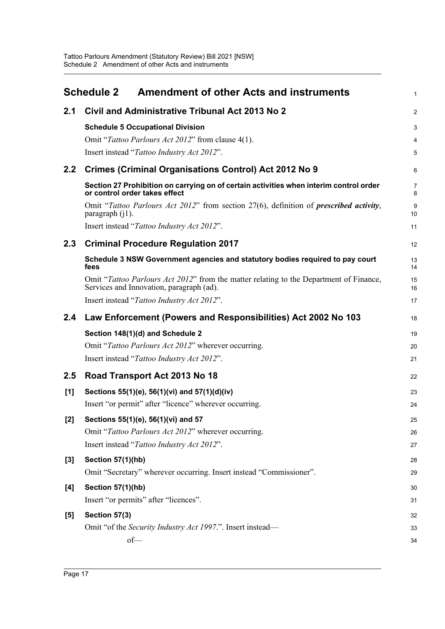<span id="page-22-0"></span>

|                  | <b>Schedule 2</b><br><b>Amendment of other Acts and instruments</b>                                                                | $\mathbf{1}$   |
|------------------|------------------------------------------------------------------------------------------------------------------------------------|----------------|
| 2.1              | Civil and Administrative Tribunal Act 2013 No 2                                                                                    | $\overline{2}$ |
|                  | <b>Schedule 5 Occupational Division</b>                                                                                            | 3              |
|                  | Omit "Tattoo Parlours Act 2012" from clause 4(1).                                                                                  | 4              |
|                  | Insert instead "Tattoo Industry Act 2012".                                                                                         | 5              |
| 2.2              | Crimes (Criminal Organisations Control) Act 2012 No 9                                                                              | 6              |
|                  | Section 27 Prohibition on carrying on of certain activities when interim control order<br>or control order takes effect            | 7<br>8         |
|                  | Omit "Tattoo Parlours Act 2012" from section 27(6), definition of <i>prescribed activity</i> ,<br>paragraph (j1).                  | 9<br>10        |
|                  | Insert instead "Tattoo Industry Act 2012".                                                                                         | 11             |
| $2.3\phantom{0}$ | <b>Criminal Procedure Regulation 2017</b>                                                                                          | 12             |
|                  | Schedule 3 NSW Government agencies and statutory bodies required to pay court<br>fees                                              | 13<br>14       |
|                  | Omit "Tattoo Parlours Act 2012" from the matter relating to the Department of Finance,<br>Services and Innovation, paragraph (ad). | 15<br>16       |
|                  | Insert instead "Tattoo Industry Act 2012".                                                                                         | 17             |
| 2.4              | Law Enforcement (Powers and Responsibilities) Act 2002 No 103                                                                      | 18             |
|                  | Section 148(1)(d) and Schedule 2                                                                                                   | 19             |
|                  | Omit "Tattoo Parlours Act 2012" wherever occurring.                                                                                | 20             |
|                  | Insert instead "Tattoo Industry Act 2012".                                                                                         | 21             |
| $2.5\,$          | Road Transport Act 2013 No 18                                                                                                      | 22             |
| [1]              | Sections 55(1)(e), 56(1)(vi) and 57(1)(d)(iv)                                                                                      | 23             |
|                  | Insert "or permit" after "licence" wherever occurring.                                                                             | 24             |
| $[2]$            | Sections 55(1)(e), 56(1)(vi) and 57                                                                                                | 25             |
|                  | Omit "Tattoo Parlours Act 2012" wherever occurring.                                                                                | 26             |
|                  | Insert instead "Tattoo Industry Act 2012".                                                                                         | 27             |
| $[3]$            | <b>Section 57(1)(hb)</b>                                                                                                           | 28             |
|                  | Omit "Secretary" wherever occurring. Insert instead "Commissioner".                                                                | 29             |
| [4]              | <b>Section 57(1)(hb)</b>                                                                                                           | 30             |
|                  | Insert "or permits" after "licences".                                                                                              | 31             |
| [5]              | Section 57(3)                                                                                                                      | 32             |
|                  | Omit "of the Security Industry Act 1997.". Insert instead—                                                                         | 33             |
|                  | $of$ —                                                                                                                             | 34             |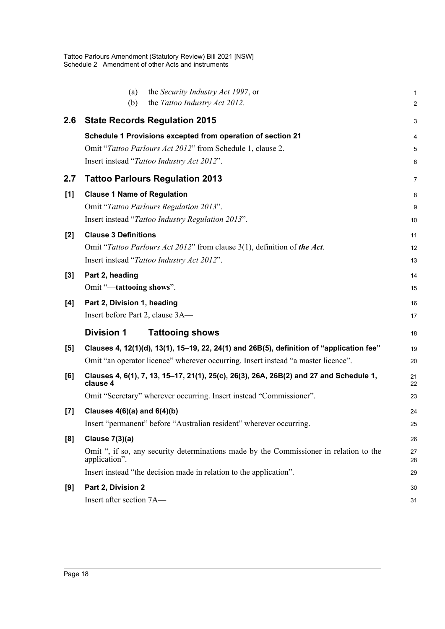|       | the Security Industry Act 1997, or<br>(a)<br>the Tattoo Industry Act 2012.<br>(b)                       | 1                       |
|-------|---------------------------------------------------------------------------------------------------------|-------------------------|
|       |                                                                                                         | $\overline{\mathbf{c}}$ |
| 2.6   | <b>State Records Regulation 2015</b>                                                                    | 3                       |
|       | Schedule 1 Provisions excepted from operation of section 21                                             | 4                       |
|       | Omit "Tattoo Parlours Act 2012" from Schedule 1, clause 2.                                              | 5                       |
|       | Insert instead "Tattoo Industry Act 2012".                                                              | 6                       |
| 2.7   | <b>Tattoo Parlours Regulation 2013</b>                                                                  | 7                       |
| [1]   | <b>Clause 1 Name of Regulation</b>                                                                      | 8                       |
|       | Omit "Tattoo Parlours Regulation 2013".                                                                 | 9                       |
|       | Insert instead "Tattoo Industry Regulation 2013".                                                       | 10                      |
| $[2]$ | <b>Clause 3 Definitions</b>                                                                             | 11                      |
|       | Omit "Tattoo Parlours Act 2012" from clause 3(1), definition of the Act.                                | 12                      |
|       | Insert instead "Tattoo Industry Act 2012".                                                              | 13                      |
| $[3]$ | Part 2, heading                                                                                         | 14                      |
|       | Omit "-tattooing shows".                                                                                | 15                      |
| [4]   | Part 2, Division 1, heading                                                                             | 16                      |
|       | Insert before Part 2, clause 3A-                                                                        | 17                      |
|       | <b>Division 1</b><br><b>Tattooing shows</b>                                                             | 18                      |
| [5]   | Clauses 4, 12(1)(d), 13(1), 15–19, 22, 24(1) and 26B(5), definition of "application fee"                | 19                      |
|       | Omit "an operator licence" wherever occurring. Insert instead "a master licence".                       | 20                      |
| [6]   | Clauses 4, 6(1), 7, 13, 15–17, 21(1), 25(c), 26(3), 26A, 26B(2) and 27 and Schedule 1,<br>clause 4      | 21<br>22                |
|       | Omit "Secretary" wherever occurring. Insert instead "Commissioner".                                     | 23                      |
| $[7]$ | Clauses $4(6)(a)$ and $6(4)(b)$                                                                         | 24                      |
|       | Insert "permanent" before "Australian resident" wherever occurring.                                     | 25                      |
| [8]   | Clause $7(3)(a)$                                                                                        | 26                      |
|       | Omit ", if so, any security determinations made by the Commissioner in relation to the<br>application". | 27<br>28                |
|       | Insert instead "the decision made in relation to the application".                                      | 29                      |
| [9]   | Part 2, Division 2                                                                                      | 30                      |
|       | Insert after section 7A-                                                                                | 31                      |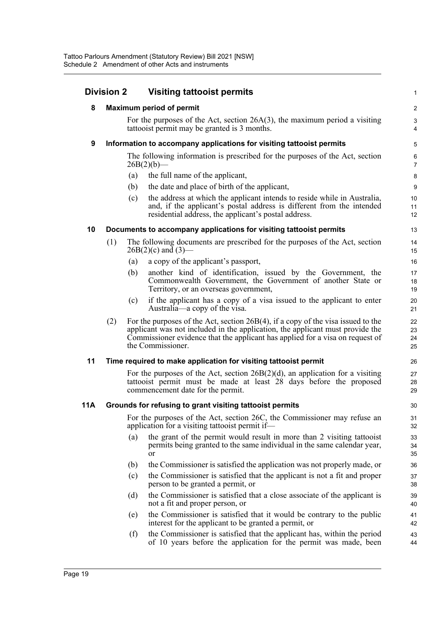|     | <b>Division 2</b> | <b>Visiting tattooist permits</b>                                                                                                                                                                                                                                          | $\mathbf{1}$                   |
|-----|-------------------|----------------------------------------------------------------------------------------------------------------------------------------------------------------------------------------------------------------------------------------------------------------------------|--------------------------------|
| 8   |                   | <b>Maximum period of permit</b>                                                                                                                                                                                                                                            | $\boldsymbol{2}$               |
|     |                   | For the purposes of the Act, section $26A(3)$ , the maximum period a visiting<br>tattooist permit may be granted is 3 months.                                                                                                                                              | $\ensuremath{\mathsf{3}}$<br>4 |
| 9   |                   | Information to accompany applications for visiting tattooist permits                                                                                                                                                                                                       | 5                              |
|     |                   | The following information is prescribed for the purposes of the Act, section<br>$26B(2)(b)$ —                                                                                                                                                                              | 6<br>$\overline{7}$            |
|     |                   | the full name of the applicant,<br>(a)                                                                                                                                                                                                                                     | 8                              |
|     |                   | the date and place of birth of the applicant,<br>(b)                                                                                                                                                                                                                       | 9                              |
|     |                   | the address at which the applicant intends to reside while in Australia,<br>(c)<br>and, if the applicant's postal address is different from the intended<br>residential address, the applicant's postal address.                                                           | 10<br>11<br>12                 |
| 10  |                   | Documents to accompany applications for visiting tattooist permits                                                                                                                                                                                                         | 13                             |
|     | (1)               | The following documents are prescribed for the purposes of the Act, section<br>$26B(2)(c)$ and $(3)$ —                                                                                                                                                                     | 14<br>15                       |
|     |                   | a copy of the applicant's passport,<br>(a)                                                                                                                                                                                                                                 | 16                             |
|     |                   | another kind of identification, issued by the Government, the<br>(b)<br>Commonwealth Government, the Government of another State or<br>Territory, or an overseas government,                                                                                               | 17<br>18<br>19                 |
|     |                   | if the applicant has a copy of a visa issued to the applicant to enter<br>(c)<br>Australia—a copy of the visa.                                                                                                                                                             | 20<br>21                       |
|     | (2)               | For the purposes of the Act, section $26B(4)$ , if a copy of the visa issued to the<br>applicant was not included in the application, the applicant must provide the<br>Commissioner evidence that the applicant has applied for a visa on request of<br>the Commissioner. | 22<br>23<br>24<br>25           |
| 11  |                   | Time required to make application for visiting tattooist permit                                                                                                                                                                                                            | 26                             |
|     |                   | For the purposes of the Act, section $26B(2)(d)$ , an application for a visiting<br>tattooist permit must be made at least 28 days before the proposed<br>commencement date for the permit.                                                                                | 27<br>28<br>29                 |
| 11A |                   | Grounds for refusing to grant visiting tattooist permits                                                                                                                                                                                                                   | 30                             |
|     |                   | For the purposes of the Act, section 26C, the Commissioner may refuse an<br>application for a visiting tattooist permit if-                                                                                                                                                | 31<br>32                       |
|     |                   | the grant of the permit would result in more than 2 visiting tattooist<br>(a)<br>permits being granted to the same individual in the same calendar year,<br><b>or</b>                                                                                                      | 33<br>34<br>35                 |
|     |                   | the Commissioner is satisfied the application was not properly made, or<br>(b)                                                                                                                                                                                             | 36                             |
|     |                   | (c)<br>the Commissioner is satisfied that the applicant is not a fit and proper<br>person to be granted a permit, or                                                                                                                                                       | 37<br>38                       |
|     |                   | the Commissioner is satisfied that a close associate of the applicant is<br>(d)<br>not a fit and proper person, or                                                                                                                                                         | 39<br>40                       |
|     |                   | the Commissioner is satisfied that it would be contrary to the public<br>(e)<br>interest for the applicant to be granted a permit, or                                                                                                                                      | 41<br>42                       |
|     |                   | the Commissioner is satisfied that the applicant has, within the period<br>(f)<br>of 10 years before the application for the permit was made, been                                                                                                                         | 43<br>44                       |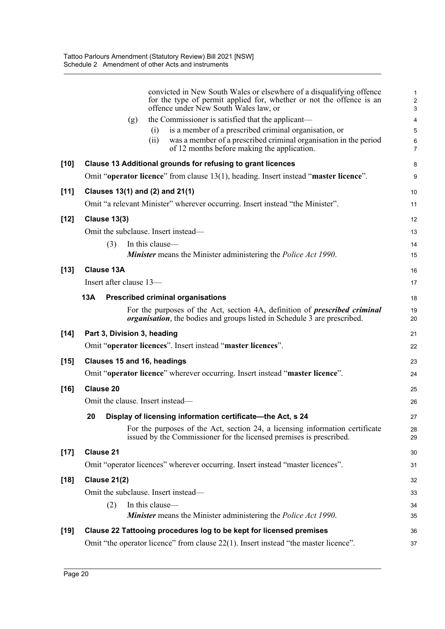|        | convicted in New South Wales or elsewhere of a disqualifying offence<br>for the type of permit applied for, whether or not the offence is an<br>offence under New South Wales law, or | $\mathbf 1$<br>$\overline{c}$<br>3 |
|--------|---------------------------------------------------------------------------------------------------------------------------------------------------------------------------------------|------------------------------------|
|        | the Commissioner is satisfied that the applicant—<br>(g)                                                                                                                              | $\overline{\mathbf{4}}$            |
|        | is a member of a prescribed criminal organisation, or<br>(i)                                                                                                                          | $\mathbf 5$                        |
|        | was a member of a prescribed criminal organisation in the period<br>(i)<br>of 12 months before making the application.                                                                | $\,6$<br>$\overline{7}$            |
| $[10]$ | Clause 13 Additional grounds for refusing to grant licences                                                                                                                           | 8                                  |
|        | Omit "operator licence" from clause 13(1), heading. Insert instead "master licence".                                                                                                  | 9                                  |
| $[11]$ | Clauses 13(1) and (2) and 21(1)                                                                                                                                                       | 10                                 |
|        | Omit "a relevant Minister" wherever occurring. Insert instead "the Minister".                                                                                                         | 11                                 |
| $[12]$ | <b>Clause 13(3)</b>                                                                                                                                                                   | 12                                 |
|        | Omit the subclause. Insert instead—                                                                                                                                                   | 13                                 |
|        | In this clause-<br>(3)                                                                                                                                                                | 14                                 |
|        | <b>Minister</b> means the Minister administering the <i>Police Act 1990</i> .                                                                                                         | 15                                 |
| $[13]$ | <b>Clause 13A</b>                                                                                                                                                                     | 16                                 |
|        | Insert after clause 13-                                                                                                                                                               | 17                                 |
|        | 13A<br><b>Prescribed criminal organisations</b>                                                                                                                                       | 18                                 |
|        | For the purposes of the Act, section 4A, definition of <i>prescribed criminal</i><br><i>organisation</i> , the bodies and groups listed in Schedule 3 are prescribed.                 | 19<br>20                           |
| $[14]$ | Part 3, Division 3, heading                                                                                                                                                           | 21                                 |
|        | Omit "operator licences". Insert instead "master licences".                                                                                                                           | 22                                 |
| $[15]$ | Clauses 15 and 16, headings                                                                                                                                                           | 23                                 |
|        | Omit "operator licence" wherever occurring. Insert instead "master licence".                                                                                                          | 24                                 |
| $[16]$ | <b>Clause 20</b>                                                                                                                                                                      | 25                                 |
|        | Omit the clause. Insert instead-                                                                                                                                                      | 26                                 |
|        | 20<br>Display of licensing information certificate-the Act, s 24                                                                                                                      | 27                                 |
|        | For the purposes of the Act, section 24, a licensing information certificate<br>issued by the Commissioner for the licensed premises is prescribed.                                   | 28<br>29                           |
| $[17]$ | <b>Clause 21</b>                                                                                                                                                                      | 30                                 |
|        | Omit "operator licences" wherever occurring. Insert instead "master licences".                                                                                                        | 31                                 |
| $[18]$ | <b>Clause 21(2)</b>                                                                                                                                                                   | 32                                 |
|        | Omit the subclause. Insert instead—                                                                                                                                                   | 33                                 |
|        | In this clause-<br>(2)                                                                                                                                                                | 34                                 |
|        | <b>Minister</b> means the Minister administering the <i>Police Act 1990</i> .                                                                                                         | 35                                 |
| $[19]$ | Clause 22 Tattooing procedures log to be kept for licensed premises                                                                                                                   | 36                                 |
|        | Omit "the operator licence" from clause 22(1). Insert instead "the master licence".                                                                                                   | 37                                 |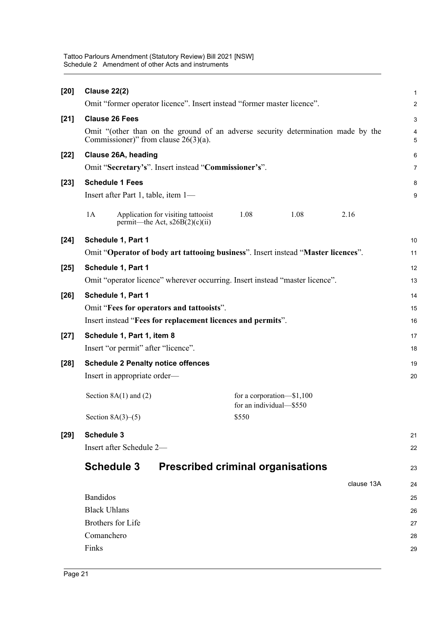| <b>Clause 22(2)</b>                                                                  |                                                             |                                                                                                                                                                                                                                                                                                                                                                                                                                                                                                     |
|--------------------------------------------------------------------------------------|-------------------------------------------------------------|-----------------------------------------------------------------------------------------------------------------------------------------------------------------------------------------------------------------------------------------------------------------------------------------------------------------------------------------------------------------------------------------------------------------------------------------------------------------------------------------------------|
|                                                                                      |                                                             |                                                                                                                                                                                                                                                                                                                                                                                                                                                                                                     |
| <b>Clause 26 Fees</b>                                                                |                                                             |                                                                                                                                                                                                                                                                                                                                                                                                                                                                                                     |
| Commissioner)" from clause $26(3)(a)$ .                                              |                                                             |                                                                                                                                                                                                                                                                                                                                                                                                                                                                                                     |
| Clause 26A, heading                                                                  |                                                             |                                                                                                                                                                                                                                                                                                                                                                                                                                                                                                     |
| Omit "Secretary's". Insert instead "Commissioner's".                                 |                                                             |                                                                                                                                                                                                                                                                                                                                                                                                                                                                                                     |
| <b>Schedule 1 Fees</b>                                                               |                                                             |                                                                                                                                                                                                                                                                                                                                                                                                                                                                                                     |
| Insert after Part 1, table, item 1—                                                  |                                                             |                                                                                                                                                                                                                                                                                                                                                                                                                                                                                                     |
| 1A<br>1.08<br>Application for visiting tattooist<br>permit—the Act, $s26B(2)(c)(ii)$ | 1.08                                                        | 2.16                                                                                                                                                                                                                                                                                                                                                                                                                                                                                                |
| Schedule 1, Part 1<br>$[24]$                                                         |                                                             |                                                                                                                                                                                                                                                                                                                                                                                                                                                                                                     |
|                                                                                      |                                                             |                                                                                                                                                                                                                                                                                                                                                                                                                                                                                                     |
| Schedule 1, Part 1                                                                   |                                                             |                                                                                                                                                                                                                                                                                                                                                                                                                                                                                                     |
|                                                                                      |                                                             |                                                                                                                                                                                                                                                                                                                                                                                                                                                                                                     |
| Schedule 1, Part 1                                                                   |                                                             |                                                                                                                                                                                                                                                                                                                                                                                                                                                                                                     |
| Omit "Fees for operators and tattooists".                                            |                                                             |                                                                                                                                                                                                                                                                                                                                                                                                                                                                                                     |
|                                                                                      |                                                             |                                                                                                                                                                                                                                                                                                                                                                                                                                                                                                     |
| Schedule 1, Part 1, item 8                                                           |                                                             |                                                                                                                                                                                                                                                                                                                                                                                                                                                                                                     |
| Insert "or permit" after "licence".                                                  |                                                             |                                                                                                                                                                                                                                                                                                                                                                                                                                                                                                     |
| $[28]$<br><b>Schedule 2 Penalty notice offences</b>                                  |                                                             |                                                                                                                                                                                                                                                                                                                                                                                                                                                                                                     |
| Insert in appropriate order—                                                         |                                                             |                                                                                                                                                                                                                                                                                                                                                                                                                                                                                                     |
| Section $8A(1)$ and $(2)$                                                            |                                                             |                                                                                                                                                                                                                                                                                                                                                                                                                                                                                                     |
| Section $8A(3)–(5)$<br>\$550                                                         |                                                             |                                                                                                                                                                                                                                                                                                                                                                                                                                                                                                     |
| <b>Schedule 3</b>                                                                    |                                                             |                                                                                                                                                                                                                                                                                                                                                                                                                                                                                                     |
| Insert after Schedule 2-                                                             |                                                             |                                                                                                                                                                                                                                                                                                                                                                                                                                                                                                     |
|                                                                                      |                                                             |                                                                                                                                                                                                                                                                                                                                                                                                                                                                                                     |
|                                                                                      |                                                             |                                                                                                                                                                                                                                                                                                                                                                                                                                                                                                     |
|                                                                                      |                                                             | clause 13A                                                                                                                                                                                                                                                                                                                                                                                                                                                                                          |
|                                                                                      |                                                             |                                                                                                                                                                                                                                                                                                                                                                                                                                                                                                     |
|                                                                                      |                                                             |                                                                                                                                                                                                                                                                                                                                                                                                                                                                                                     |
|                                                                                      |                                                             |                                                                                                                                                                                                                                                                                                                                                                                                                                                                                                     |
| <b>Brothers</b> for Life<br>Comanchero                                               |                                                             |                                                                                                                                                                                                                                                                                                                                                                                                                                                                                                     |
|                                                                                      | <b>Schedule 3</b><br><b>Bandidos</b><br><b>Black Uhlans</b> | Omit "former operator licence". Insert instead "former master licence".<br>Omit "(other than on the ground of an adverse security determination made by the<br>Omit "Operator of body art tattooing business". Insert instead "Master licences".<br>Omit "operator licence" wherever occurring. Insert instead "master licence".<br>Insert instead "Fees for replacement licences and permits".<br>for a corporation-\$1,100<br>for an individual-\$550<br><b>Prescribed criminal organisations</b> |

Tattoo Parlours Amendment (Statutory Review) Bill 2021 [NSW]

Schedule 2 Amendment of other Acts and instruments